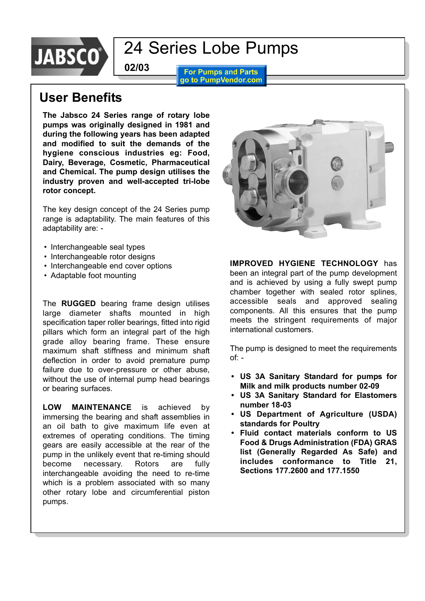

**For Pumps and Parts** go to PumpVendor.com

### **User Benefits**

**The Jabsco 24 Series range of rotary lobe pumps was originally designed in 1981 and during the following years has been adapted and modified to suit the demands of the hygiene conscious industries eg: Food, Dairy, Beverage, Cosmetic, Pharmaceutical and Chemical. The pump design utilises the industry proven and well-accepted tri-lobe rotor concept.**

**02/03**

The key design concept of the 24 Series pump range is adaptability. The main features of this adaptability are: -

- Interchangeable seal types
- Interchangeable rotor designs
- Interchangeable end cover options
- Adaptable foot mounting

The **RUGGED** bearing frame design utilises large diameter shafts mounted in high specification taper roller bearings, fitted into rigid pillars which form an integral part of the high grade alloy bearing frame. These ensure maximum shaft stiffness and minimum shaft deflection in order to avoid premature pump failure due to over-pressure or other abuse, without the use of internal pump head bearings or bearing surfaces.

**LOW MAINTENANCE** is achieved by immersing the bearing and shaft assemblies in an oil bath to give maximum life even at extremes of operating conditions. The timing gears are easily accessible at the rear of the pump in the unlikely event that re-timing should become necessary. Rotors are fully interchangeable avoiding the need to re-time which is a problem associated with so many other rotary lobe and circumferential piston pumps.



**IMPROVED HYGIENE TECHNOLOGY** has been an integral part of the pump development and is achieved by using a fully swept pump chamber together with sealed rotor splines, accessible seals and approved sealing components. All this ensures that the pump meets the stringent requirements of major international customers.

The pump is designed to meet the requirements of: -

- **ï US 3A Sanitary Standard for pumps for Milk and milk products number 02-09**
- **ï US 3A Sanitary Standard for Elastomers number 18-03**
- **ï US Department of Agriculture (USDA) standards for Poultry**
- **ï Fluid contact materials conform to US Food & Drugs Administration (FDA) GRAS list (Generally Regarded As Safe) and includes conformance to Title 21, Sections 177.2600 and 177.1550**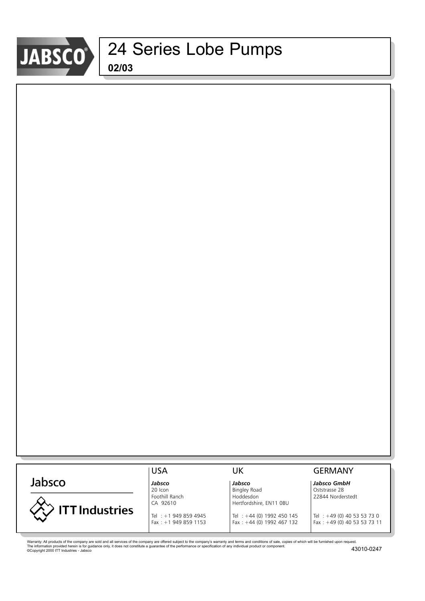

|                       | <b>USA</b>             | UK                         | <b>GERMANY</b>                   |
|-----------------------|------------------------|----------------------------|----------------------------------|
| Jabsco                | Jabsco                 | Jabsco                     | Jabsco GmbH                      |
|                       | 20 Icon                | <b>Bingley Road</b>        | Oststrasse 28                    |
|                       | Foothill Ranch         | Hoddesdon                  | 22844 Norderstedt                |
|                       | CA 92610               | Hertfordshire, EN11 0BU    |                                  |
| <b>ITT Industries</b> |                        |                            |                                  |
|                       | Tel: +1 949 859 4945   | Tel : +44 (0) 1992 450 145 | $\textsf{Tel} : +49(0)405353730$ |
|                       | Fax: $+1$ 949 859 1153 | Fax: +44 (0) 1992 467 132  | Fax: +49 (0) 40 53 53 73 11      |
|                       |                        |                            |                                  |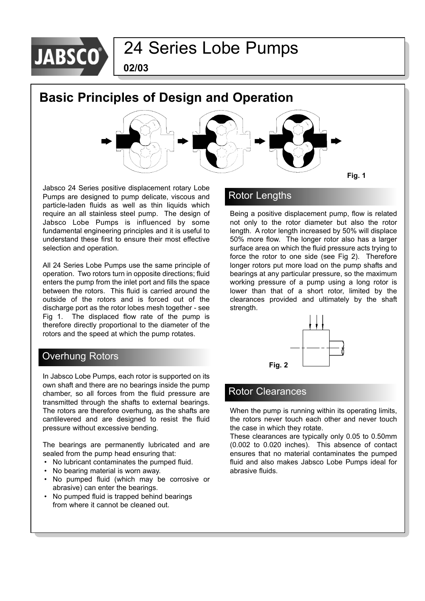

**02/03**

### **Basic Principles of Design and Operation**



Jabsco 24 Series positive displacement rotary Lobe Pumps are designed to pump delicate, viscous and particle-laden fluids as well as thin liquids which require an all stainless steel pump. The design of Jabsco Lobe Pumps is influenced by some fundamental engineering principles and it is useful to understand these first to ensure their most effective selection and operation.

All 24 Series Lobe Pumps use the same principle of operation. Two rotors turn in opposite directions; fluid enters the pump from the inlet port and fills the space between the rotors. This fluid is carried around the outside of the rotors and is forced out of the discharge port as the rotor lobes mesh together - see Fig 1. The displaced flow rate of the pump is therefore directly proportional to the diameter of the rotors and the speed at which the pump rotates.

### Overhung Rotors

In Jabsco Lobe Pumps, each rotor is supported on its own shaft and there are no bearings inside the pump chamber, so all forces from the fluid pressure are transmitted through the shafts to external bearings. The rotors are therefore overhung, as the shafts are cantilevered and are designed to resist the fluid pressure without excessive bending.

The bearings are permanently lubricated and are sealed from the pump head ensuring that:

- No lubricant contaminates the pumped fluid.
- No bearing material is worn away.
- No pumped fluid (which may be corrosive or abrasive) can enter the bearings.
- No pumped fluid is trapped behind bearings from where it cannot be cleaned out.

### Rotor Lengths

Being a positive displacement pump, flow is related not only to the rotor diameter but also the rotor length. A rotor length increased by 50% will displace 50% more flow. The longer rotor also has a larger surface area on which the fluid pressure acts trying to force the rotor to one side (see Fig 2). Therefore longer rotors put more load on the pump shafts and bearings at any particular pressure, so the maximum working pressure of a pump using a long rotor is lower than that of a short rotor, limited by the clearances provided and ultimately by the shaft strength.



### Rotor Clearances

When the pump is running within its operating limits, the rotors never touch each other and never touch the case in which they rotate.

These clearances are typically only 0.05 to 0.50mm (0.002 to 0.020 inches). This absence of contact ensures that no material contaminates the pumped fluid and also makes Jabsco Lobe Pumps ideal for abrasive fluids.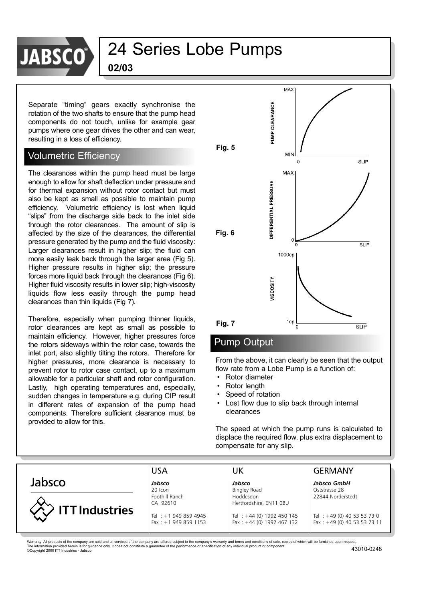

**02/03**

Separate "timing" gears exactly synchronise the rotation of the two shafts to ensure that the pump head components do not touch, unlike for example gear pumps where one gear drives the other and can wear, resulting in a loss of efficiency.

### Volumetric Efficiency

The clearances within the pump head must be large enough to allow for shaft deflection under pressure and for thermal expansion without rotor contact but must also be kept as small as possible to maintain pump efficiency. Volumetric efficiency is lost when liquid "slips" from the discharge side back to the inlet side through the rotor clearances. The amount of slip is affected by the size of the clearances, the differential pressure generated by the pump and the fluid viscosity: Larger clearances result in higher slip; the fluid can more easily leak back through the larger area (Fig 5). Higher pressure results in higher slip; the pressure forces more liquid back through the clearances (Fig 6). Higher fluid viscosity results in lower slip; high-viscosity liquids flow less easily through the pump head clearances than thin liquids (Fig 7).

Therefore, especially when pumping thinner liquids, rotor clearances are kept as small as possible to maintain efficiency. However, higher pressures force the rotors sideways within the rotor case, towards the inlet port, also slightly tilting the rotors. Therefore for higher pressures, more clearance is necessary to prevent rotor to rotor case contact, up to a maximum allowable for a particular shaft and rotor configuration. Lastly, high operating temperatures and, especially, sudden changes in temperature e.g. during CIP result in different rates of expansion of the pump head components. Therefore sufficient clearance must be provided to allow for this.



#### Pump Output

From the above, it can clearly be seen that the output flow rate from a Lobe Pump is a function of:

- Rotor diameter
- Rotor length
- Speed of rotation
- Lost flow due to slip back through internal clearances

The speed at which the pump runs is calculated to displace the required flow, plus extra displacement to compensate for any slip.

|                       | <b>USA</b>                                        | UK                                                          | <b>GERMANY</b>                                             |
|-----------------------|---------------------------------------------------|-------------------------------------------------------------|------------------------------------------------------------|
| Jabsco                | Jabsco                                            | Jabsco                                                      | Jabsco GmbH                                                |
|                       | 20 Icon<br>Foothill Ranch<br>CA 92610             | <b>Bingley Road</b><br>Hoddesdon<br>Hertfordshire, EN11 OBU | Oststrasse 28<br>22844 Norderstedt                         |
| <b>ITT</b> Industries | Tel : $+1$ 949 859 4945<br>Fax: $+1$ 949 859 1153 | Tel: +44 (0) 1992 450 145<br>Fax: $+44$ (0) 1992 467 132    | Tel : +49 (0) 40 53 53 73 0<br>Fax: +49 (0) 40 53 53 73 11 |
|                       |                                                   |                                                             |                                                            |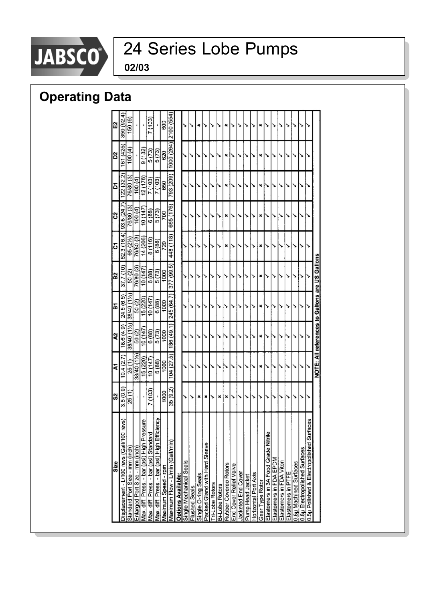

# JABSCO<sup>®</sup> 24 Series Lobe Pumps

**02/03**

### **Operating Data**

| Size                                                                                | $\ddot{\rm s}$      | ā          | ર          | ă                                              | B2         | δ         | S                       | δ         | 2          | ũ         |
|-------------------------------------------------------------------------------------|---------------------|------------|------------|------------------------------------------------|------------|-----------|-------------------------|-----------|------------|-----------|
| $\frac{1}{2}$<br>Displacement - L/100 revs (Gall/100 re                             | 3.5(0.9)            | 10.4(2.7)  | 8.6 (4.9)  | 24.5 (6.5)                                     | 37.7 (10)  |           | 62.3 (16.4) 33.6 (24.7) | 22 (32.2) | 161 (425)  | 350 (92.4 |
| Standard Port Size - mm (inch)                                                      | 25 (1)              | 25 (1)     | 38/40 (1%) | 38/40 (1%)                                     | 50(2)      | 65 (2%)   | 76/80 (3)               | 76/80 (3) | (4)        | 150 (6)   |
| Enlarged Port Size - mm (inch)                                                      |                     | 38/40 (1%) | 50(2)      | 50(2)                                          | 76/80 (3)  | 76/80 (3) | (4)                     | 100(4)    |            |           |
| ξ                                                                                   |                     | (220)      | 141 0 147  | 5 (220)                                        | 10 (147    | 14 (206)  | 10(147)                 | 2(176)    | 9(132)     |           |
| Max. diff. Press. - bar (psi) High Pressu<br>Max. diff. Press. - bar (psi) Standard | (103)               | 10(147)    | 6(88)      | 10(147)                                        | 6(88)      | 8(116)    | 6(88)                   | 7 (103)   | 5(73)      | (103)     |
| έ<br>Max. diff. Press. - bar (psi) High Efficie                                     | j.                  | 6(88)      | 5(73)      | 6(88)                                          | 5(73)      | 6(88)     | 5(73)                   | 7(103)    | 5(73)      |           |
| Maximum Speed - rpm                                                                 | $\frac{1000}{1000}$ | 1000       | 1000       | 1000                                           | 1000       | 720       | 700                     | 650       | 620        | 600       |
| Maximum Flow - L/min (Gall/min)                                                     | 35 (9.2)            | 104(27.5)  | 186 (49.1) | 245 (64.7)                                     | 377 (99.5) | 448 (118) | 665 (176)               | 793 (209) | 1000 (264) | 2100 (554 |
| <b>Options Available:</b>                                                           |                     |            |            |                                                |            |           |                         |           |            |           |
| Single Mechanical Seals                                                             | ↘                   |            |            |                                                |            |           |                         |           |            |           |
| Flushed Seals                                                                       |                     |            |            |                                                |            |           |                         |           |            |           |
| Single O-ring Seals                                                                 | ×                   |            |            |                                                |            |           |                         |           |            | ×         |
| Packed Gland with Hard Sleeve                                                       | ×                   |            |            |                                                |            |           |                         |           |            |           |
| <b>Ti-Lobe Rotors</b>                                                               |                     |            |            |                                                |            |           |                         |           |            |           |
| Bi-Lobe Rotors                                                                      | ×                   | ↘          |            |                                                |            |           |                         |           |            |           |
| Rubber Covered Rotors                                                               | ×                   |            |            |                                                |            | ×         | ×                       | ×         | ×          | ×         |
| End Cover Relief Valve                                                              | ↘                   | ۰,         |            |                                                |            | ۰,        |                         |           |            |           |
| Jacketed End Cover                                                                  |                     |            |            |                                                |            |           |                         |           |            |           |
| Pump Head Jacket                                                                    |                     |            |            |                                                |            |           |                         |           |            |           |
| Horizontal Port Axis                                                                |                     |            |            |                                                |            |           |                         |           |            |           |
| Gear Type Rotor                                                                     |                     | ×          | ×          | ×                                              |            |           | ×                       | ×         | ×          | ×         |
| Elastomers in 3A Food Grade Nitrile                                                 |                     | ↘          |            |                                                |            |           |                         |           |            |           |
| Elastomers in FDA EPDM                                                              |                     | ۰,         |            |                                                |            |           |                         |           |            |           |
| Elastomers in FDA Viton                                                             |                     |            |            |                                                |            |           |                         |           |            |           |
| Elastomers in PTFE                                                                  |                     |            |            |                                                |            |           |                         |           |            |           |
| 0.8µ Machined Surfaces                                                              |                     | `          |            |                                                |            |           |                         |           |            |           |
| 0.8µ Electropolished Surfaces                                                       |                     |            |            |                                                |            |           |                         |           |            |           |
| 8e.<br>0.5µ Polished & Electropolished Surfac                                       |                     |            |            |                                                |            |           |                         |           |            |           |
|                                                                                     |                     |            |            | NOTE: All references to Gallons are US Gallons |            |           |                         |           |            |           |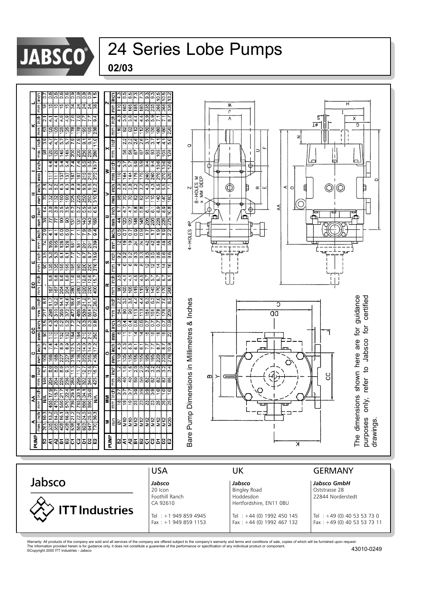

| 02/03 |
|-------|
|-------|



Tel : +1 949 859 4945 Tel : +44 (0) 1992 450 145 Tel : +49 (0) 40 53 53 73 0<br>Fax : +1 949 859 1153 Fax : +44 (0) 1992 467 132 Fax : +49 (0) 40 53 53 73 11

Warranty: All products of the company are sold and all services of the company are offered subject to the company's warranty and terms and conditions of sale, copies of which will be furnished upon request.<br>The informatio

 $Fax : +44 (0) 1992 467 132$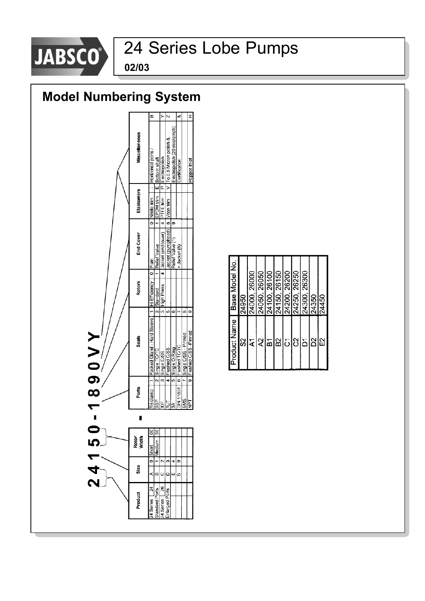

**02/03**



| Nodel No<br>Base | 14950 | 26000<br>8<br>$\frac{5}{240}$ | 26050<br>24050 | g<br>261 | 26150<br><u>sinal</u><br>1112<br>2112 | 8<br>262 | 26250<br>24250 | 26300<br>24300 | 24350 | 24450 |
|------------------|-------|-------------------------------|----------------|----------|---------------------------------------|----------|----------------|----------------|-------|-------|
| Product Name     | ္တု   |                               | 최종 이 시설        |          |                                       |          |                |                |       | 띲     |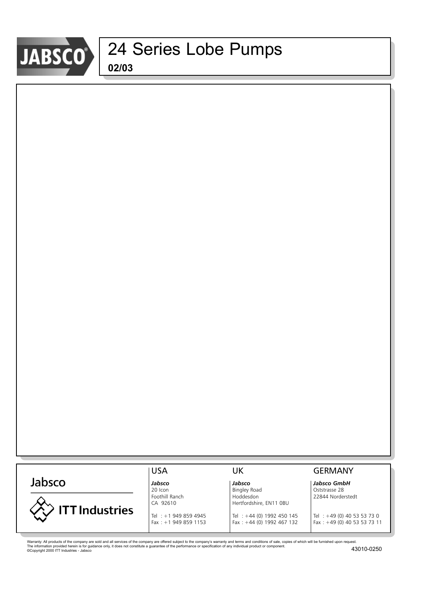

|                       | <b>USA</b>                     | UK                          | <b>GERMANY</b>                |
|-----------------------|--------------------------------|-----------------------------|-------------------------------|
| Jabsco                | Jabsco                         | Jabsco                      | Jabsco GmbH                   |
|                       | 20 Icon                        | <b>Bingley Road</b>         | Oststrasse 28                 |
|                       | Foothill Ranch                 | Hoddesdon                   | 22844 Norderstedt             |
|                       | CA 92610                       | Hertfordshire, EN11 OBU     |                               |
| <b>ITT Industries</b> | $\text{Tel}$ : +1 949 859 4945 | Tel : +44 (0) 1992 450 145  | Tel : $+49$ (0) 40 53 53 73 0 |
|                       | Fax: $+1$ 949 859 1153         | Fax: $+44$ (0) 1992 467 132 | Fax: $+49$ (0) 40 53 53 73 11 |
|                       |                                |                             |                               |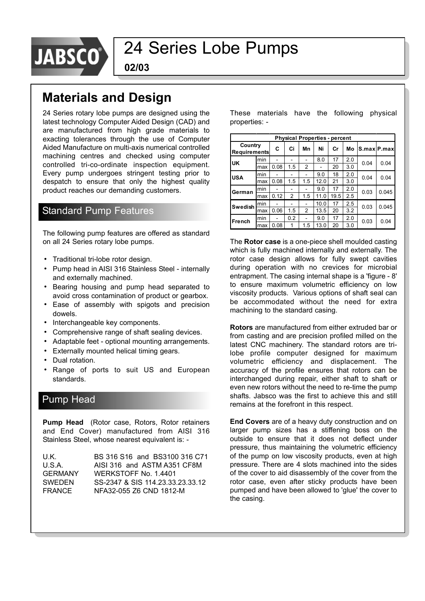

**02/03**

### **Materials and Design**

24 Series rotary lobe pumps are designed using the latest technology Computer Aided Design (CAD) and are manufactured from high grade materials to exacting tolerances through the use of Computer Aided Manufacture on multi-axis numerical controlled machining centres and checked using computer controlled tri-co-ordinate inspection equipment. Every pump undergoes stringent testing prior to despatch to ensure that only the highest quality product reaches our demanding customers.

### Standard Pump Features

The following pump features are offered as standard on all 24 Series rotary lobe pumps.

- Traditional tri-lobe rotor design.
- Pump head in AISI 316 Stainless Steel internally and externally machined.
- Bearing housing and pump head separated to avoid cross contamination of product or gearbox.
- Ease of assembly with spigots and precision dowels.
- Interchangeable key components.
- Comprehensive range of shaft sealing devices.
- Adaptable feet optional mounting arrangements.
- Externally mounted helical timing gears.
- Dual rotation.
- Range of ports to suit US and European standards.

### Pump Head

**Pump Head** (Rotor case, Rotors, Rotor retainers) and End Cover) manufactured from AISI 316 Stainless Steel, whose nearest equivalent is: -

U.K. BS 316 S16 and BS3100 316 C71 U.S.A. AISI 316 and ASTM A351 CF8M GERMANY WERKSTOFF No. 1.4401 SWEDEN SS-2347 & SIS 114.23.33.23.33.12 FRANCE NFA32-055 Z6 CND 1812-M

These materials have the following physical properties: -

|                                |     |      |                |                |      | <b>Physical Properties - percent</b> |     |      |             |
|--------------------------------|-----|------|----------------|----------------|------|--------------------------------------|-----|------|-------------|
| Country<br><b>Requirements</b> |     | C    | Ci             | Mn             | Ni   | Cr                                   | Mо  |      | S.max P.max |
| UK                             | min |      |                |                | 8.0  | 17                                   | 2.0 | 0.04 | 0.04        |
|                                | max | 0.08 | 1.5            | 2              |      | 20                                   | 3.0 |      |             |
| <b>USA</b>                     | min |      | -              |                | 9.0  | 18                                   | 2.0 | 0.04 | 0.04        |
|                                | max | 0.08 | 1.5            | 1.5            | 12.0 | 21                                   | 3.0 |      |             |
| German                         | min |      |                |                | 9.0  | 17                                   | 2.0 | 0.03 | 0.045       |
|                                | max | 0.12 | $\overline{2}$ | 1.5            | 11.0 | 19.5                                 | 2.5 |      |             |
| Swedish                        | min |      |                |                | 10.0 | 17                                   | 2.5 | 0.03 | 0.045       |
|                                | max | 0.06 | 1.5            | $\overline{2}$ | 13.5 | 20                                   | 3.2 |      |             |
| French                         | min |      | 0.2            |                | 9.0  | 17                                   | 2.0 | 0.03 | 0.04        |
|                                | max | 0.08 | 1              | 1.5            | 13.0 | 20                                   | 3.0 |      |             |

The **Rotor case** is a one-piece shell moulded casting which is fully machined internally and externally. The rotor case design allows for fully swept cavities during operation with no crevices for microbial entrapment. The casing internal shape is a 'figure - 8' to ensure maximum volumetric efficiency on low viscosity products. Various options of shaft seal can be accommodated without the need for extra machining to the standard casing.

**Rotors** are manufactured from either extruded bar or from casting and are precision profiled milled on the latest CNC machinery. The standard rotors are trilobe profile computer designed for maximum volumetric efficiency and displacement. The accuracy of the profile ensures that rotors can be interchanged during repair, either shaft to shaft or even new rotors without the need to re-time the pump shafts. Jabsco was the first to achieve this and still remains at the forefront in this respect.

**End Covers** are of a heavy duty construction and on larger pump sizes has a stiffening boss on the outside to ensure that it does not deflect under pressure, thus maintaining the volumetric efficiency of the pump on low viscosity products, even at high pressure. There are 4 slots machined into the sides of the cover to aid disassembly of the cover from the rotor case, even after sticky products have been pumped and have been allowed to 'glue' the cover to the casing.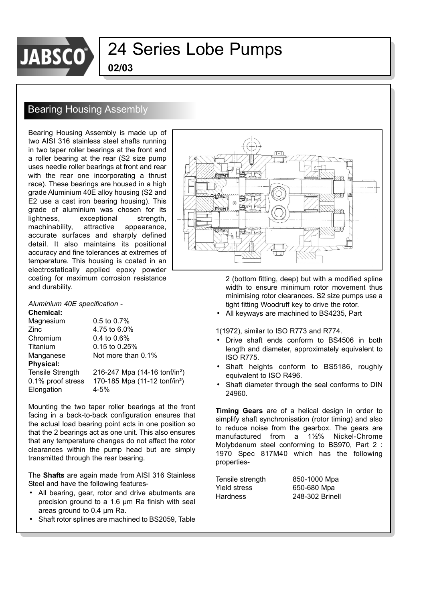

**02/03**

### Bearing Housing Assembly

Bearing Housing Assembly is made up of two AISI 316 stainless steel shafts running in two taper roller bearings at the front and a roller bearing at the rear (S2 size pump uses needle roller bearings at front and rear with the rear one incorporating a thrust race). These bearings are housed in a high grade Aluminium 40E alloy housing (S2 and E2 use a cast iron bearing housing). This grade of aluminium was chosen for its lightness, exceptional strength, machinability, attractive appearance, accurate surfaces and sharply defined detail. It also maintains its positional accuracy and fine tolerances at extremes of temperature. This housing is coated in an electrostatically applied epoxy powder coating for maximum corrosion resistance and durability.

#### *Aluminium 40E specification -*

#### **Chemical:**

Magnesium 0.5 to 0.7% Zinc 4.75 to 6.0% Chromium 0.4 to 0.6% Titanium 0.15 to 0.25% Manganese Not more than 0.1% **Physical:**  Tensile Strength 216-247 Mpa (14-16 tonf/in²) 0.1% proof stress 170-185 Mpa (11-12 tonf/in²) Elongation 4-5%

Mounting the two taper roller bearings at the front facing in a back-to-back configuration ensures that the actual load bearing point acts in one position so that the 2 bearings act as one unit. This also ensures that any temperature changes do not affect the rotor clearances within the pump head but are simply transmitted through the rear bearing.

The **Shafts** are again made from AISI 316 Stainless Steel and have the following features-

- All bearing, gear, rotor and drive abutments are precision ground to a 1.6 µm Ra finish with seal areas ground to 0.4 µm Ra.
- Shaft rotor splines are machined to BS2059, Table



2 (bottom fitting, deep) but with a modified spline width to ensure minimum rotor movement thus minimising rotor clearances. S2 size pumps use a tight fitting Woodruff key to drive the rotor.

• All keyways are machined to BS4235, Part

1(1972), similar to ISO R773 and R774.

- Drive shaft ends conform to BS4506 in both length and diameter, approximately equivalent to ISO R775.
- Shaft heights conform to BS5186, roughly equivalent to ISO R496.
- Shaft diameter through the seal conforms to DIN 24960.

**Timing Gears** are of a helical design in order to simplify shaft synchronisation (rotor timing) and also to reduce noise from the gearbox. The gears are manufactured from a 1½% Nickel-Chrome Molybdenum steel conforming to BS970, Part 2 : 1970 Spec 817M40 which has the following properties-

| Tensile strength | 850-1000 Mpa    |
|------------------|-----------------|
| Yield stress     | 650-680 Mpa     |
| Hardness         | 248-302 Brinell |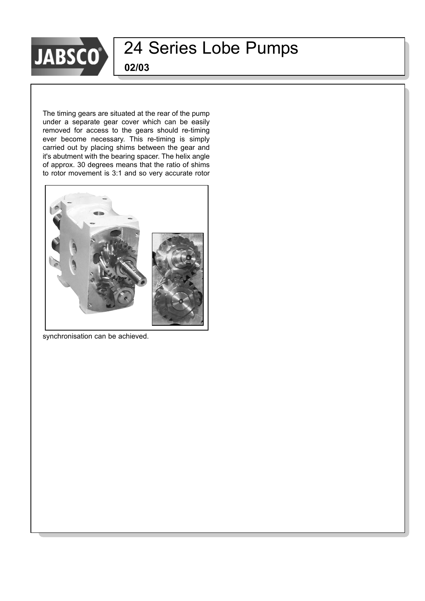

**02/03**

The timing gears are situated at the rear of the pump under a separate gear cover which can be easily removed for access to the gears should re-timing ever become necessary. This re-timing is simply carried out by placing shims between the gear and it's abutment with the bearing spacer. The helix angle of approx. 30 degrees means that the ratio of shims to rotor movement is 3:1 and so very accurate rotor



synchronisation can be achieved.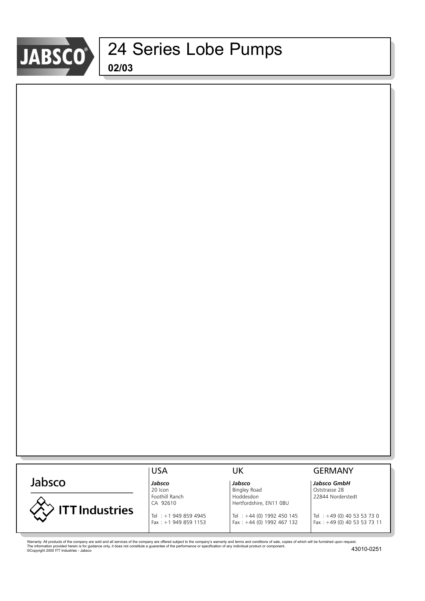

|                       | <b>USA</b>             | UK                         | <b>GERMANY</b>                   |
|-----------------------|------------------------|----------------------------|----------------------------------|
| Jabsco                | Jabsco                 | Jabsco                     | Jabsco GmbH                      |
|                       | 20 Icon                | <b>Bingley Road</b>        | Oststrasse 28                    |
|                       | Foothill Ranch         | Hoddesdon                  | 22844 Norderstedt                |
|                       | CA 92610               | Hertfordshire, EN11 0BU    |                                  |
| <b>ITT Industries</b> |                        |                            |                                  |
|                       | Tel: +1 949 859 4945   | Tel : +44 (0) 1992 450 145 | $\textsf{Tel} : +49(0)405353730$ |
|                       | Fax: $+1$ 949 859 1153 | Fax: +44 (0) 1992 467 132  | Fax: +49 (0) 40 53 53 73 11      |
|                       |                        |                            |                                  |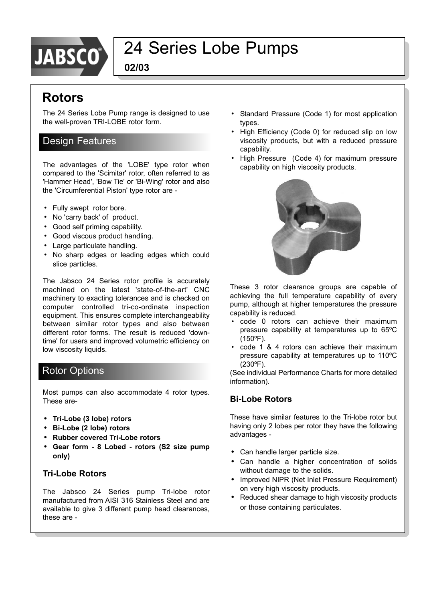

**02/03**

### **Rotors**

The 24 Series Lobe Pump range is designed to use the well-proven TRI-LOBE rotor form.

### Design Features

The advantages of the 'LOBE' type rotor when compared to the 'Scimitar' rotor, often referred to as 'Hammer Head', 'Bow Tie' or 'Bi-Wing' rotor and also the 'Circumferential Piston' type rotor are -

- Fully swept rotor bore.
- No 'carry back' of product.
- Good self priming capability.
- Good viscous product handling.
- Large particulate handling.
- No sharp edges or leading edges which could slice particles.

The Jabsco 24 Series rotor profile is accurately machined on the latest 'state-of-the-art' CNC machinery to exacting tolerances and is checked on computer controlled tri-co-ordinate inspection equipment. This ensures complete interchangeability between similar rotor types and also between different rotor forms. The result is reduced 'downtime' for users and improved volumetric efficiency on low viscosity liquids.

### Rotor Options

Most pumps can also accommodate 4 rotor types. These are-

- **ï Tri-Lobe (3 lobe) rotors**
- **ï Bi-Lobe (2 lobe) rotors**
- **ï Rubber covered Tri-Lobe rotors**
- **ï Gear form 8 Lobed rotors (S2 size pump only)**

#### **Tri-Lobe Rotors**

The Jabsco 24 Series pump Tri-lobe rotor manufactured from AISI 316 Stainless Steel and are available to give 3 different pump head clearances, these are -

- Standard Pressure (Code 1) for most application types.
- High Efficiency (Code 0) for reduced slip on low viscosity products, but with a reduced pressure capability.
- High Pressure (Code 4) for maximum pressure capability on high viscosity products.



These 3 rotor clearance groups are capable of achieving the full temperature capability of every pump, although at higher temperatures the pressure capability is reduced.

- code 0 rotors can achieve their maximum pressure capability at temperatures up to 65ºC (150ºF).
- code 1 & 4 rotors can achieve their maximum pressure capability at temperatures up to 110ºC (230ºF).

(See individual Performance Charts for more detailed information).

#### **Bi-Lobe Rotors**

These have similar features to the Tri-lobe rotor but having only 2 lobes per rotor they have the following advantages -

- **ï** Can handle larger particle size.
- **ï** Can handle a higher concentration of solids without damage to the solids.
- **•** Improved NIPR (Net Inlet Pressure Requirement) on very high viscosity products.
- Reduced shear damage to high viscosity products or those containing particulates.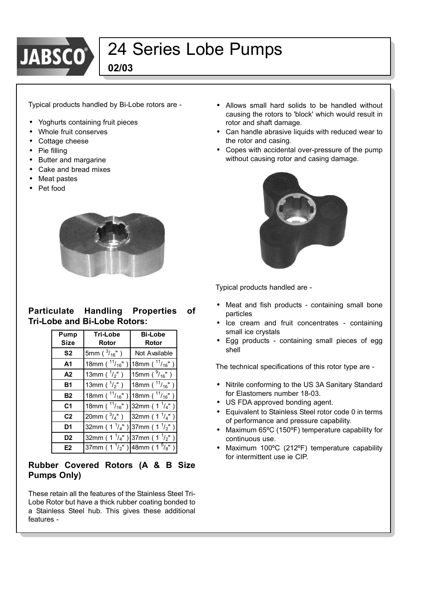

**02/03**

Typical products handled by Bi-Lobe rotors are -

- **ï** Yoghurts containing fruit pieces
- **ï** Whole fruit conserves
- **ï** Cottage cheese
- Pie filling
- **•** Butter and margarine
- **ï** Cake and bread mixes
- **ï** Meat pastes
- **ï** Pet food



#### **Particulate Handling Properties of Tri-Lobe and Bi-Lobe Rotors:**

| Pump<br><b>Size</b> | <b>Tri-Lobe</b><br>Rotor          | <b>Bi-Lobe</b><br>Rotor    |
|---------------------|-----------------------------------|----------------------------|
| S <sub>2</sub>      | 5mm ( $^{3}/_{16}$ ")             | Not Available              |
| A <sub>1</sub>      | 18mm ( $^{11}/_{16}$ ")           | 18mm ( $\frac{11}{16}$ ")  |
| A2                  | 13mm ( $\frac{1}{2}$ ")           | 15mm ( $\frac{9}{16}$ ")   |
| <b>B1</b>           | 13mm ( $\frac{1}{2}$ ")           | 18mm ( $\frac{11}{16}$ ")  |
| <b>B2</b>           | 18mm ( $\frac{11}{16}$ ")         | 18mm ( $^{11}/_{16}$ ")    |
| C <sub>1</sub>      | 18mm ( $^{11}/_{16}$ ")           | 32mm ( $1^{1/4}$ ")        |
| C <sub>2</sub>      | 20mm ( $\frac{3}{4}$ ")           | 32mm ( $1^{\frac{1}{4}}$ ) |
| D <sub>1</sub>      | 32mm ( $1^{\frac{1}{4}}$ )        | 37mm ( $1^{\frac{1}{2}}$ ) |
| D <sub>2</sub>      | 32mm ( $1^{\frac{1}{4}}$ )        | 37mm ( $1^{1}/2$ ")        |
| E <sub>2</sub>      | $\overline{37}$ mm (1 $^{1/2}$ ") | 48mm ( $1\frac{5}{8}$ "    |

#### **Rubber Covered Rotors (A & B Size Pumps Only)**

These retain all the features of the Stainless Steel Tri-Lobe Rotor but have a thick rubber coating bonded to a Stainless Steel hub. This gives these additional features -

- Allows small hard solids to be handled without causing the rotors to 'block' which would result in rotor and shaft damage.
- **ï** Can handle abrasive liquids with reduced wear to the rotor and casing.
- **ï** Copes with accidental over-pressure of the pump without causing rotor and casing damage.



Typical products handled are -

- Meat and fish products containing small bone particles
- Ice cream and fruit concentrates containing small ice crystals
- **ï** Egg products containing small pieces of egg shell

The technical specifications of this rotor type are -

- **ï** Nitrile conforming to the US 3A Sanitary Standard for Elastomers number 18-03.
- **ï** US FDA approved bonding agent.
- **ï** Equivalent to Stainless Steel rotor code 0 in terms of performance and pressure capability.
- **ï** Maximum 65ºC (150ºF) temperature capability for continuous use.
- **ï** Maximum 100ºC (212ºF) temperature capability for intermittent use ie CIP.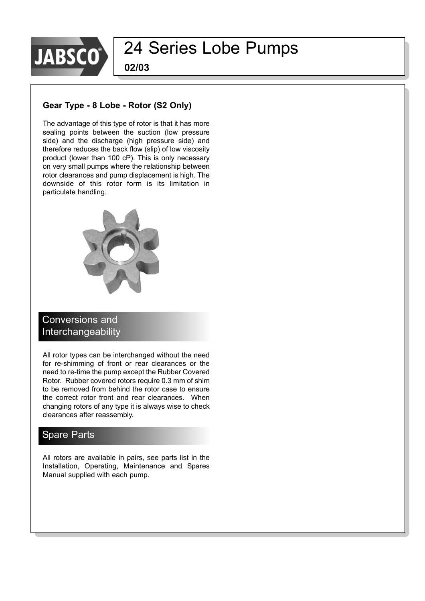

**02/03**

#### **Gear Type - 8 Lobe - Rotor (S2 Only)**

The advantage of this type of rotor is that it has more sealing points between the suction (low pressure side) and the discharge (high pressure side) and therefore reduces the back flow (slip) of low viscosity product (lower than 100 cP). This is only necessary on very small pumps where the relationship between rotor clearances and pump displacement is high. The downside of this rotor form is its limitation in particulate handling.



### Conversions and Interchangeability

All rotor types can be interchanged without the need for re-shimming of front or rear clearances or the need to re-time the pump except the Rubber Covered Rotor. Rubber covered rotors require 0.3 mm of shim to be removed from behind the rotor case to ensure the correct rotor front and rear clearances. When changing rotors of any type it is always wise to check clearances after reassembly.

### **Spare Parts**

All rotors are available in pairs, see parts list in the Installation, Operating, Maintenance and Spares Manual supplied with each pump.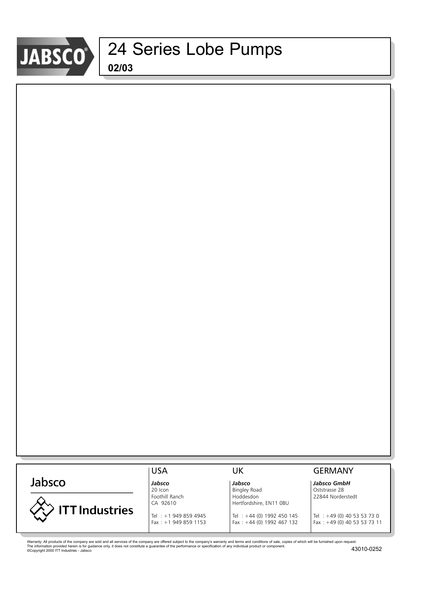

|                       | <b>USA</b>             | UK                         | <b>GERMANY</b>                   |
|-----------------------|------------------------|----------------------------|----------------------------------|
| Jabsco                | Jabsco                 | Jabsco                     | Jabsco GmbH                      |
|                       | 20 Icon                | <b>Bingley Road</b>        | Oststrasse 28                    |
|                       | Foothill Ranch         | Hoddesdon                  | 22844 Norderstedt                |
|                       | CA 92610               | Hertfordshire, EN11 0BU    |                                  |
| <b>ITT Industries</b> |                        |                            |                                  |
|                       | Tel: +1 949 859 4945   | Tel : +44 (0) 1992 450 145 | $\textsf{Tel} : +49(0)405353730$ |
|                       | Fax: $+1$ 949 859 1153 | Fax: +44 (0) 1992 467 132  | Fax: +49 (0) 40 53 53 73 11      |
|                       |                        |                            |                                  |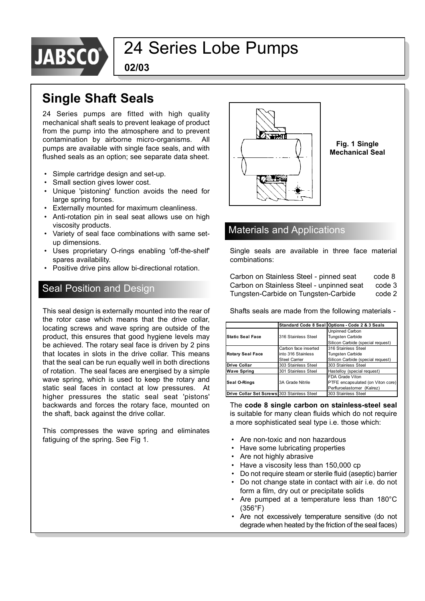

**02/03**

### **Single Shaft Seals**

24 Series pumps are fitted with high quality mechanical shaft seals to prevent leakage of product from the pump into the atmosphere and to prevent contamination by airborne micro-organisms. All pumps are available with single face seals, and with flushed seals as an option; see separate data sheet.

- Simple cartridge design and set-up.
- Small section gives lower cost.
- Unique 'pistoning' function avoids the need for large spring forces.
- Externally mounted for maximum cleanliness.
- Anti-rotation pin in seal seat allows use on high viscosity products.
- Variety of seal face combinations with same setup dimensions.
- Uses proprietary O-rings enabling 'off-the-shelf' spares availability.
- Positive drive pins allow bi-directional rotation.

### Seal Position and Design

This seal design is externally mounted into the rear of the rotor case which means that the drive collar, locating screws and wave spring are outside of the product, this ensures that good hygiene levels may be achieved. The rotary seal face is driven by 2 pins that locates in slots in the drive collar. This means that the seal can be run equally well in both directions of rotation. The seal faces are energised by a simple wave spring, which is used to keep the rotary and static seal faces in contact at low pressures. At higher pressures the static seal seat 'pistons' backwards and forces the rotary face, mounted on the shaft, back against the drive collar.

This compresses the wave spring and eliminates fatiguing of the spring. See Fig 1.



**Fig. 1 Single Mechanical Seal**

### Materials and Applications

Single seals are available in three face material combinations:

| Carbon on Stainless Steel - pinned seat   | code 8 |
|-------------------------------------------|--------|
| Carbon on Stainless Steel - unpinned seat | code 3 |
| Tungsten-Carbide on Tungsten-Carbide      | code 2 |

Shafts seals are made from the following materials -

|                                             |                      | Standard Code 8 Seal Options - Code 2 & 3 Seals |  |  |
|---------------------------------------------|----------------------|-------------------------------------------------|--|--|
|                                             |                      | Unpinned Carbon                                 |  |  |
| <b>Static Seal Face</b>                     | 316 Stainless Steel  | <b>Tungsten Carbide</b>                         |  |  |
|                                             |                      | Silicon Carbide (special request)               |  |  |
|                                             | Carbon face inserted | 316 Stainless Steel                             |  |  |
| <b>Rotary Seal Face</b>                     | into 316 Stainless   | <b>Tungsten Carbide</b>                         |  |  |
|                                             | <b>Steel Carrier</b> | Silicon Carbide (special request)               |  |  |
| <b>Drive Collar</b>                         | 303 Stainless Steel  | 303 Stainless Steel                             |  |  |
| <b>Wave Spring</b>                          | 301 Stainless Steel  | Hastelloy (special request)                     |  |  |
|                                             |                      | FDA Grade Viton                                 |  |  |
| <b>Seal O-Rings</b>                         | 3A Grade Nitrile     | PTFE encapsulated (on Viton core)               |  |  |
|                                             |                      | Perfluroelastomer (Kalrez)                      |  |  |
| Drive Collar Set Screws 303 Stainless Steel |                      | 303 Stainless Steel                             |  |  |

The **code 8 single carbon on stainless-steel seal** is suitable for many clean fluids which do not require a more sophisticated seal type i.e. those which:

- Are non-toxic and non hazardous
- Have some lubricating properties
- Are not highly abrasive
- Have a viscosity less than 150,000 cp
- Do not require steam or sterile fluid (aseptic) barrier
- Do not change state in contact with air i.e. do not form a film, dry out or precipitate solids
- Are pumped at a temperature less than 180°C (356°F)
- Are not excessively temperature sensitive (do not degrade when heated by the friction of the seal faces)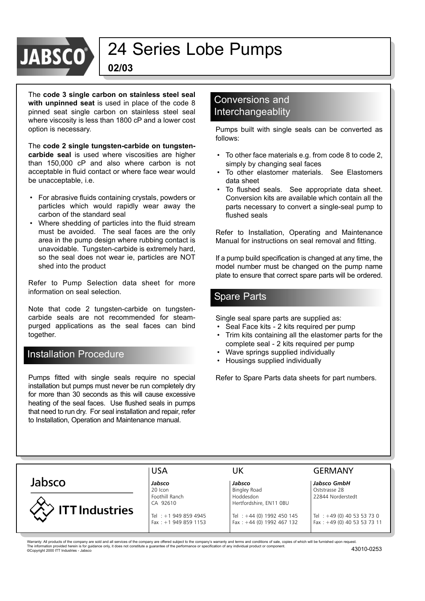# **JABS**

### 24 Series Lobe Pumps

**02/03**

The **code 3 single carbon on stainless steel seal with unpinned seat** is used in place of the code 8 pinned seat single carbon on stainless steel seal where viscosity is less than 1800 cP and a lower cost option is necessary.

The **code 2 single tungsten-carbide on tungstencarbide seal** is used where viscosities are higher than 150,000 cP and also where carbon is not acceptable in fluid contact or where face wear would be unacceptable, i.e.

- For abrasive fluids containing crystals, powders or particles which would rapidly wear away the carbon of the standard seal
- Where shedding of particles into the fluid stream must be avoided. The seal faces are the only area in the pump design where rubbing contact is unavoidable. Tungsten-carbide is extremely hard, so the seal does not wear ie, particles are NOT shed into the product

Refer to Pump Selection data sheet for more information on seal selection.

Note that code 2 tungsten-carbide on tungstencarbide seals are not recommended for steampurged applications as the seal faces can bind together.

### Installation Procedure

Pumps fitted with single seals require no special installation but pumps must never be run completely dry for more than 30 seconds as this will cause excessive heating of the seal faces. Use flushed seals in pumps that need to run dry. For seal installation and repair, refer to Installation, Operation and Maintenance manual.

#### Conversions and Interchangeablity

Pumps built with single seals can be converted as follows:

- To other face materials e.g. from code 8 to code 2, simply by changing seal faces
- To other elastomer materials. See Elastomers data sheet
- To flushed seals. See appropriate data sheet. Conversion kits are available which contain all the parts necessary to convert a single-seal pump to flushed seals

Refer to Installation, Operating and Maintenance Manual for instructions on seal removal and fitting.

If a pump build specification is changed at any time, the model number must be changed on the pump name plate to ensure that correct spare parts will be ordered.

### Spare Parts

Single seal spare parts are supplied as:

- Seal Face kits 2 kits required per pump
- Trim kits containing all the elastomer parts for the complete seal - 2 kits required per pump
- Wave springs supplied individually
- Housings supplied individually

Refer to Spare Parts data sheets for part numbers.

### Jabsco



20 Icon **Bingley Road** Destace 28 **Properties 28** Interventional Bingley Road Destace 28 22844 Norder Foothill Ranch **Hoddesdon** Hoddesdon 22844 Norderstedt<br>CA 92610 Hertfordshire. EN11 0BU Hertfordshire, EN11 0BU

#### USA UK GERMANY

*Jabsco Jabsco Jabsco GmbH*

Tel : +1 949 859 4945 Tel : +44 (0) 1992 450 145 Tel : +49 (0) 40 53 53 73 0 Fax : +1 949 859 1153 Fax : +44 (0) 1992 467 132 Fax : +49 (0) 40 53 53 73 11

Warranty: All products of the company are sold and all services of the company are offered subject to the company's warranty and terms and conditions of sale, copies of which will be furnished upon request. The information provided herein is for guidance only, it does not constitute a guarantee of the performance or specification of any individual product or component. (2000 ITT Industries - Jabsco 43010-0253 (2010-0253 mm) a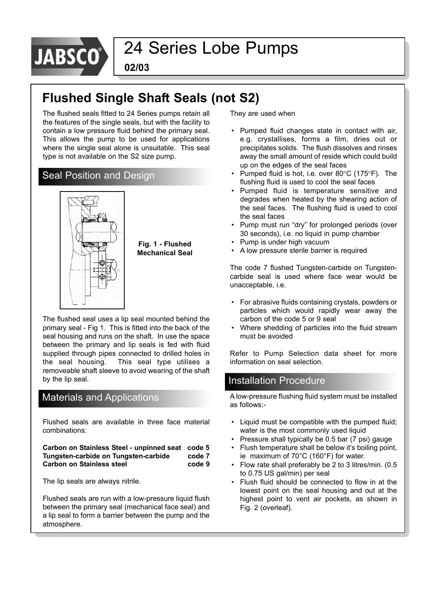

**02/03**

### **Flushed Single Shaft Seals (not S2)**

The flushed seals fitted to 24 Series pumps retain all the features of the single seals, but with the facility to contain a low pressure fluid behind the primary seal. This allows the pump to be used for applications where the single seal alone is unsuitable. This seal type is not available on the S2 size pump.

### Seal Position and Design



The flushed seal uses a lip seal mounted behind the primary seal - Fig 1. This is fitted into the back of the seal housing and runs on the shaft. In use the space between the primary and lip seals is fed with fluid supplied through pipes connected to drilled holes in the seal housing. This seal type utilises a removeable shaft sleeve to avoid wearing of the shaft by the lip seal.

### Materials and Applications

Flushed seals are available in three face material combinations:

**Carbon on Stainless Steel - unpinned seat code 5 Tungsten-carbide on Tungsten-carbide code 7** Carbon on Stainless steel **Carbon on Stainless steel** 

The lip seals are always nitrile.

Flushed seals are run with a low-pressure liquid flush between the primary seal (mechanical face seal) and a lip seal to form a barrier between the pump and the atmosphere.

They are used when

- Pumped fluid changes state in contact with air, e.g. crystallises, forms a film, dries out or precipitates solids. The flush dissolves and rinses away the small amount of reside which could build up on the edges of the seal faces
- Pumped fluid is hot, i.e. over 80°C (175°F). The flushing fluid is used to cool the seal faces
- Pumped fluid is temperature sensitive and degrades when heated by the shearing action of the seal faces. The flushing fluid is used to cool the seal faces
- Pump must run "dry" for prolonged periods (over 30 seconds), i.e. no liquid in pump chamber
- Pump is under high vacuum
- A low pressure sterile barrier is required

The code 7 flushed Tungsten-carbide on Tungstencarbide seal is used where face wear would be unacceptable, i.e.

- For abrasive fluids containing crystals, powders or particles which would rapidly wear away the carbon of the code 5 or 9 seal
- Where shedding of particles into the fluid stream must be avoided

Refer to Pump Selection data sheet for more information on seal selection.

### Installation Procedure

A low-pressure flushing fluid system must be installed as follows:-

- Liquid must be compatible with the pumped fluid; water is the most commonly used liquid
- Pressure shall typically be 0.5 bar (7 psi) gauge
- Flush temperature shall be below it's boiling point, ie maximum of 70°C (160°F) for water.
- Flow rate shall preferably be 2 to 3 litres/min. (0.5) to 0.75 US gal/min) per seal
- Flush fluid should be connected to flow in at the lowest point on the seal housing and out at the highest point to vent air pockets, as shown in Fig. 2 (overleaf).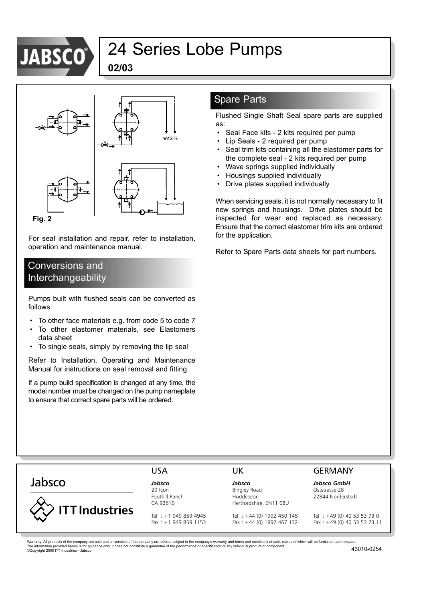

**02/03**



**Fig. 2**

For seal installation and repair, refer to installation, operation and maintenance manual.

### Conversions and Interchangeability

Pumps built with flushed seals can be converted as follows:

- To other face materials e.g. from code 5 to code 7
- To other elastomer materials, see Elastomers data sheet
- To single seals, simply by removing the lip seal

Refer to Installation, Operating and Maintenance Manual for instructions on seal removal and fitting.

If a pump build specification is changed at any time, the model number must be changed on the pump nameplate to ensure that correct spare parts will be ordered.

### Spare Parts

Flushed Single Shaft Seal spare parts are supplied as:

- Seal Face kits 2 kits required per pump
- Lip Seals 2 required per pump
- Seal trim kits containing all the elastomer parts for the complete seal - 2 kits required per pump
- Wave springs supplied individually
- Housings supplied individually
- Drive plates supplied individually

When servicing seals, it is not normally necessary to fit new springs and housings. Drive plates should be inspected for wear and replaced as necessary. Ensure that the correct elastomer trim kits are ordered for the application.

Refer to Spare Parts data sheets for part numbers.

### Jabsco



*Jabsco Jabsco Jabsco GmbH*

20 Icon **Bingley Road** Destace 28 **Properties 28** Interventional Bingley Road Destace 28 22844 Norder Foothill Ranch **Hoddesdon** Hoddesdon 22844 Norderstedt CA 92610 Hertfordshire, EN11 0BU

#### USA UK GERMANY

Tel : +1 949 859 4945 Tel : +44 (0) 1992 450 145 Tel : +49 (0) 40 53 53 73 0 Fax : +1 949 859 1153 Fax : +44 (0) 1992 467 132 Fax : +49 (0) 40 53 53 73 11

Warranty: All products of the company are sold and all services of the company are offered subject to the company's warranty and terms and conditions of sale, copies of which will be furnished upon request. The information provided herein is for guidance only, it does not constitute a guarantee of the performance or specification of any individual product or component. (2000 ITT Industries - Jabsco 43010-0254 (2010-0254)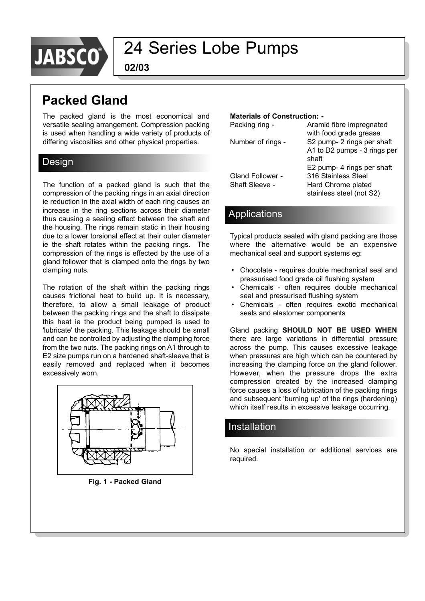

**02/03**

### **Packed Gland**

The packed gland is the most economical and versatile sealing arrangement. Compression packing is used when handling a wide variety of products of differing viscosities and other physical properties.

### Design

The function of a packed gland is such that the compression of the packing rings in an axial direction ie reduction in the axial width of each ring causes an increase in the ring sections across their diameter thus causing a sealing effect between the shaft and the housing. The rings remain static in their housing due to a lower torsional effect at their outer diameter ie the shaft rotates within the packing rings. The compression of the rings is effected by the use of a gland follower that is clamped onto the rings by two clamping nuts.

The rotation of the shaft within the packing rings causes frictional heat to build up. It is necessary, therefore, to allow a small leakage of product between the packing rings and the shaft to dissipate this heat ie the product being pumped is used to 'lubricate' the packing. This leakage should be small and can be controlled by adjusting the clamping force from the two nuts. The packing rings on A1 through to E2 size pumps run on a hardened shaft-sleeve that is easily removed and replaced when it becomes excessively worn.



**Fig. 1 - Packed Gland**

#### **Materials of Construction: -**

| Packing ring -          | Aramid fibre impregnated     |
|-------------------------|------------------------------|
|                         | with food grade grease       |
| Number of rings -       | S2 pump- 2 rings per shaft   |
|                         | A1 to D2 pumps - 3 rings per |
|                         | shaft                        |
|                         | E2 pump- 4 rings per shaft   |
| <b>Gland Follower -</b> | 316 Stainless Steel          |
| Shaft Sleeve -          | Hard Chrome plated           |
|                         | stainless steel (not S2)     |
|                         |                              |

### **Applications**

Typical products sealed with gland packing are those where the alternative would be an expensive mechanical seal and support systems eg:

- Chocolate requires double mechanical seal and pressurised food grade oil flushing system
- Chemicals often requires double mechanical seal and pressurised flushing system
- Chemicals often requires exotic mechanical seals and elastomer components

Gland packing **SHOULD NOT BE USED WHEN** there are large variations in differential pressure across the pump. This causes excessive leakage when pressures are high which can be countered by increasing the clamping force on the gland follower. However, when the pressure drops the extra compression created by the increased clamping force causes a loss of lubrication of the packing rings and subsequent 'burning up' of the rings (hardening) which itself results in excessive leakage occurring.

### Installation

No special installation or additional services are required.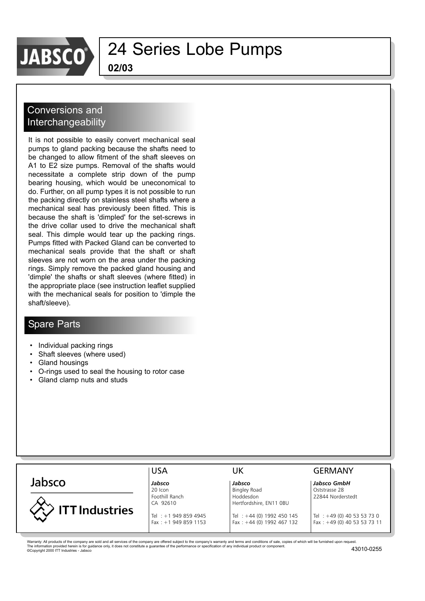

**02/03**

### Conversions and **Interchangeability**

It is not possible to easily convert mechanical seal pumps to gland packing because the shafts need to be changed to allow fitment of the shaft sleeves on A1 to E2 size pumps. Removal of the shafts would necessitate a complete strip down of the pump bearing housing, which would be uneconomical to do. Further, on all pump types it is not possible to run the packing directly on stainless steel shafts where a mechanical seal has previously been fitted. This is because the shaft is 'dimpled' for the set-screws in the drive collar used to drive the mechanical shaft seal. This dimple would tear up the packing rings. Pumps fitted with Packed Gland can be converted to mechanical seals provide that the shaft or shaft sleeves are not worn on the area under the packing rings. Simply remove the packed gland housing and 'dimple' the shafts or shaft sleeves (where fitted) in the appropriate place (see instruction leaflet supplied with the mechanical seals for position to 'dimple the shaft/sleeve).

### Spare Parts

- Individual packing rings
- Shaft sleeves (where used)
- Gland housings
- O-rings used to seal the housing to rotor case
- Gland clamp nuts and studs

|                       | <b>USA</b>                 | UΚ                                   | <b>GERMANY</b>                |
|-----------------------|----------------------------|--------------------------------------|-------------------------------|
| Jabsco                | Jabsco                     | Jabsco                               | Jabsco GmbH                   |
|                       | 20 Icon                    | <b>Bingley Road</b>                  | Oststrasse 28                 |
|                       | Foothill Ranch<br>CA 92610 | Hoddesdon<br>Hertfordshire, EN11 0BU | 22844 Norderstedt             |
| <b>ITT Industries</b> | Tel: +1 949 859 4945       | Tel: +44 (0) 1992 450 145            | Tel : $+49$ (0) 40 53 53 73 0 |
|                       | Fax: $+1$ 949 859 1153     | Fax: $+44$ (0) 1992 467 132          | Fax: $+49$ (0) 40 53 53 73 11 |

Warranty: All products of the company are sold and all services of the company are offered subject to the company's warranty and terms and conditions of sale, copies of which will be furnished upon request. The information provided herein is for guidance only, it does not constitute a guarantee of the performance or specification of any individual product or component.<br>©Copyright 2000 ITT Industries - Jabsco 43010-0255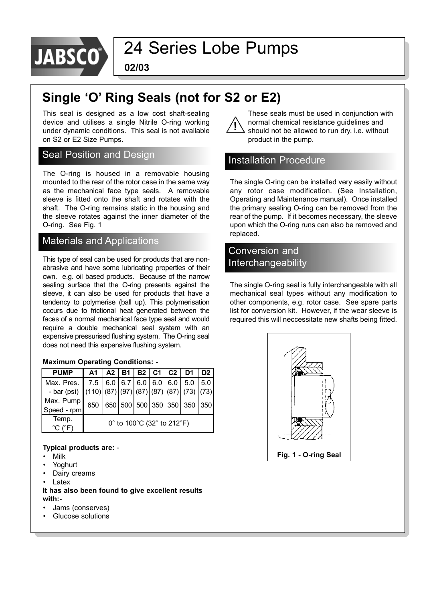

**02/03**

### **Single ëOí Ring Seals (not for S2 or E2)**

This seal is designed as a low cost shaft-sealing device and utilises a single Nitrile O-ring working under dynamic conditions. This seal is not available on S2 or E2 Size Pumps.

#### Seal Position and Design

The O-ring is housed in a removable housing mounted to the rear of the rotor case in the same way as the mechanical face type seals. A removable sleeve is fitted onto the shaft and rotates with the shaft. The O-ring remains static in the housing and the sleeve rotates against the inner diameter of the O-ring. See Fig. 1

### Materials and Applications

This type of seal can be used for products that are nonabrasive and have some lubricating properties of their own. e.g. oil based products. Because of the narrow sealing surface that the O-ring presents against the sleeve, it can also be used for products that have a tendency to polymerise (ball up). This polymerisation occurs due to frictional heat generated between the faces of a normal mechanical face type seal and would require a double mechanical seal system with an expensive pressurised flushing system. The O-ring seal does not need this expensive flushing system.

#### **Maximum Operating Conditions: -**

| <b>PUMP</b>                                |                                                       |  |  |  |  | A1   A2   B1   B2   C1   C2   D1 | D <sub>2</sub> I |
|--------------------------------------------|-------------------------------------------------------|--|--|--|--|----------------------------------|------------------|
| Max. Pres. 7.5 6.0 6.7 6.0 6.0 6.0 5.0 5.0 |                                                       |  |  |  |  |                                  |                  |
| - bar (psi)                                | $(110)$ (87) $(97)$ (87) $(87)$ (87) $(87)$ (73) (73) |  |  |  |  |                                  |                  |
| Max. Pump                                  | 650                                                   |  |  |  |  | 650 500 500 350 350 350 350      |                  |
| Speed - rpm                                |                                                       |  |  |  |  |                                  |                  |
| Temp.                                      | 0° to 100°C (32° to 212°F)                            |  |  |  |  |                                  |                  |
| $^{\circ}$ C ( $^{\circ}$ F                |                                                       |  |  |  |  |                                  |                  |

#### **Typical products are:** -

- **Milk**
- **Yoghurt**
- Dairy creams
- Latex

#### **It has also been found to give excellent results with:-**

- Jams (conserves)
- Glucose solutions

These seals must be used in conjunction with normal chemical resistance guidelines and should not be allowed to run dry. i.e. without product in the pump.

### Installation Procedure

The single O-ring can be installed very easily without any rotor case modification. (See Installation, Operating and Maintenance manual). Once installed the primary sealing O-ring can be removed from the rear of the pump. If it becomes necessary, the sleeve upon which the O-ring runs can also be removed and replaced.

### Conversion and Interchangeability

The single O-ring seal is fully interchangeable with all mechanical seal types without any modification to other components, e.g. rotor case. See spare parts list for conversion kit. However, if the wear sleeve is required this will neccessitate new shafts being fitted.

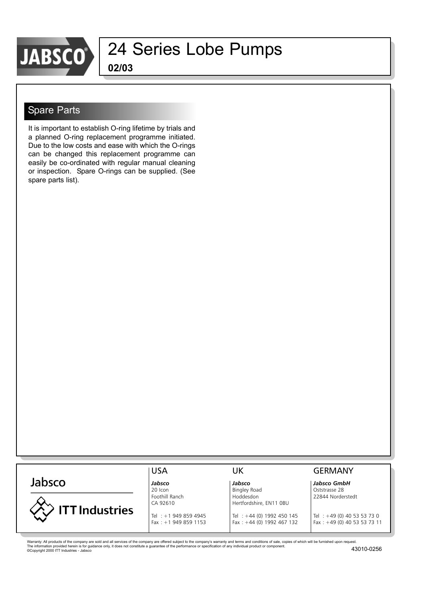

**02/03**

#### Spare Parts

It is important to establish O-ring lifetime by trials and a planned O-ring replacement programme initiated. Due to the low costs and ease with which the O-rings can be changed this replacement programme can easily be co-ordinated with regular manual cleaning or inspection. Spare O-rings can be supplied. (See spare parts list).

| Jabsco                | Jabsco                          | Jabsco                        |
|-----------------------|---------------------------------|-------------------------------|
|                       | 20 Icon                         | Bingley Road                  |
|                       | Foothill Ranch                  | Hoddesdon                     |
|                       | CA 92610                        | Hertfordshire, EN11 0BU       |
| <b>ITT Industries</b> | $+$ $+$ 1 0.40 250 40.45<br>Tol | $+$ $+$ $14$ $(0)$ 1002 150 1 |



### **GERMANY**

*Jabsco Jabsco Jabsco GmbH* Oststrasse 28 22844 Norderstedt

Tel : +1 949 859 4945 Tel : +44 (0) 1992 450 145 Tel : +49 (0) 40 53 53 73 0<br>Fax : +1 949 859 1153 Fax : +44 (0) 1992 467 132 Fax : +49 (0) 40 53 53 73 11  $Fax : +49(0)$  40 53 53 73 11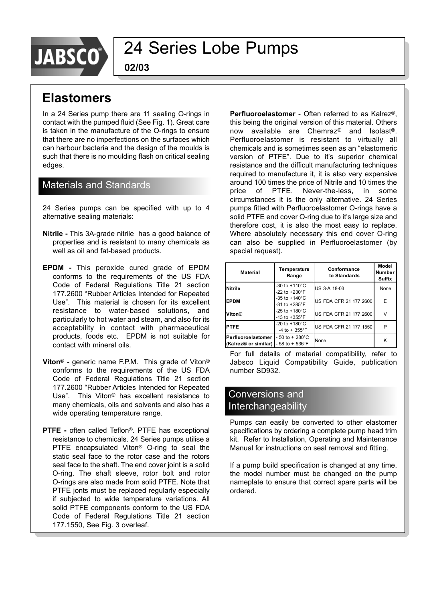

**02/03**

### **Elastomers**

In a 24 Series pump there are 11 sealing O-rings in contact with the pumped fluid (See Fig. 1). Great care is taken in the manufacture of the O-rings to ensure that there are no imperfections on the surfaces which can harbour bacteria and the design of the moulds is such that there is no moulding flash on critical sealing edges.

#### Materials and Standards

24 Series pumps can be specified with up to 4 alternative sealing materials:

- **Nitrile -** This 3A-grade nitrile has a good balance of properties and is resistant to many chemicals as well as oil and fat-based products.
- **EPDM -** This peroxide cured grade of EPDM conforms to the requirements of the US FDA Code of Federal Regulations Title 21 section 177.2600 "Rubber Articles Intended for Repeated Useî. This material is chosen for its excellent resistance to water-based solutions, and particularly to hot water and steam, and also for its acceptability in contact with pharmaceutical products, foods etc. EPDM is not suitable for contact with mineral oils.
- **Viton<sup>®</sup>** generic name F.P.M. This grade of Viton<sup>®</sup> conforms to the requirements of the US FDA Code of Federal Regulations Title 21 section 177.2600 "Rubber Articles Intended for Repeated Use". This Viton<sup>®</sup> has excellent resistance to many chemicals, oils and solvents and also has a wide operating temperature range.
- **PTFE** often called Teflon<sup>®</sup>. PTFE has exceptional resistance to chemicals. 24 Series pumps utilise a PTFE encapsulated Viton<sup>®</sup> O-ring to seal the static seal face to the rotor case and the rotors seal face to the shaft. The end cover joint is a solid O-ring. The shaft sleeve, rotor bolt and rotor O-rings are also made from solid PTFE. Note that PTFE jonts must be replaced regularly especially if subjected to wide temperature variations. All solid PTFE components conform to the US FDA Code of Federal Regulations Title 21 section 177.1550, See Fig. 3 overleaf.

Perfluoroelastomer - Often referred to as Kalrez®, this being the original version of this material. Others now available are Chemraz<sup>®</sup> and Isolast<sup>®</sup>. Perfluoroelastomer is resistant to virtually all chemicals and is sometimes seen as an "elastomeric version of PTFE". Due to it's superior chemical resistance and the difficult manufacturing techniques required to manufacture it, it is also very expensive around 100 times the price of Nitrile and 10 times the price of PTFE. Never-the-less, in some circumstances it is the only alternative. 24 Series pumps fitted with Perfluoroelastomer O-rings have a solid PTFE end cover O-ring due to it's large size and therefore cost, it is also the most easy to replace. Where absolutely necessary this end cover O-ring can also be supplied in Perfluoroelastomer (by special request).

| <b>Material</b>                                                                  | Temperature<br>Range                                   | Conformance<br>to Standards | Model<br><b>Number</b><br>Suffix |
|----------------------------------------------------------------------------------|--------------------------------------------------------|-----------------------------|----------------------------------|
| <b>Nitrile</b>                                                                   | $-30$ to $+110^{\circ}$ C<br>$-22$ to $+230^{\circ}$ F | US 3-A 18-03                | None                             |
| <b>EPDM</b>                                                                      | -35 to $+140^{\circ}$ C<br>$-31$ to $+285^{\circ}$ F   | US FDA CFR 21 177.2600      | E                                |
| Viton®                                                                           | $-25$ to $+180^{\circ}$ C<br>$-13$ to $+355^{\circ}$ F | US FDA CFR 21 177,2600      |                                  |
| <b>PTFE</b>                                                                      | $-20$ to $+180^{\circ}$ C<br>$-4$ to + 355°F           | US FDA CFR 21 177.1550      | P                                |
| Perfluoroelastomer<br>(Kalrez <sup>®</sup> or similar) $-58$ to $+536^{\circ}$ F | $-50$ to $+280^{\circ}$ C                              | None                        | Κ                                |

For full details of material compatibility, refer to Jabsco Liquid Compatibility Guide, publication number SD932.

#### Conversions and Interchangeability

Pumps can easily be converted to other elastomer specifications by ordering a complete pump head trim kit. Refer to Installation, Operating and Maintenance Manual for instructions on seal removal and fitting.

If a pump build specification is changed at any time, the model number must be changed on the pump nameplate to ensure that correct spare parts will be ordered.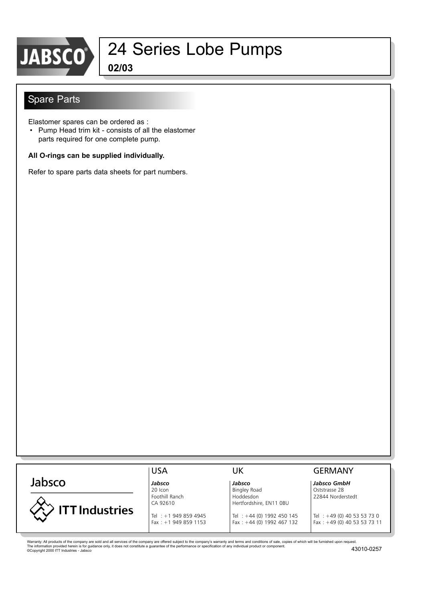

# JABSCO<sup>3</sup> 24 Series Lobe Pumps

**02/03**

### Spare Parts

Elastomer spares can be ordered as :

• Pump Head trim kit - consists of all the elastomer parts required for one complete pump.

#### **All O-rings can be supplied individually.**

Refer to spare parts data sheets for part numbers.

|                                                                                                                                                                                                                | <b>USA</b>                                    | UK                                                       | <b>GERMANY</b>                                             |
|----------------------------------------------------------------------------------------------------------------------------------------------------------------------------------------------------------------|-----------------------------------------------|----------------------------------------------------------|------------------------------------------------------------|
| Jabsco                                                                                                                                                                                                         | Jabsco<br>20 Icon                             | Jabsco<br><b>Bingley Road</b>                            | Jabsco GmbH<br>Oststrasse 28                               |
|                                                                                                                                                                                                                | Foothill Ranch<br>CA 92610                    | Hoddesdon<br>Hertfordshire, EN11 OBU                     | 22844 Norderstedt                                          |
| ITT Industries                                                                                                                                                                                                 | Tel : +1 949 859 4945<br>$Fax : +19498591153$ | Tel: +44 (0) 1992 450 145<br>Fax: $+44$ (0) 1992 467 132 | Tel : +49 (0) 40 53 53 73 0<br>Fax: +49 (0) 40 53 53 73 11 |
|                                                                                                                                                                                                                |                                               |                                                          |                                                            |
| Warranty: All products of the company are sold and all services of the company are offered subject to the company's warranty and terms and conditions of sale, copies of which will be furnished upon request. |                                               |                                                          |                                                            |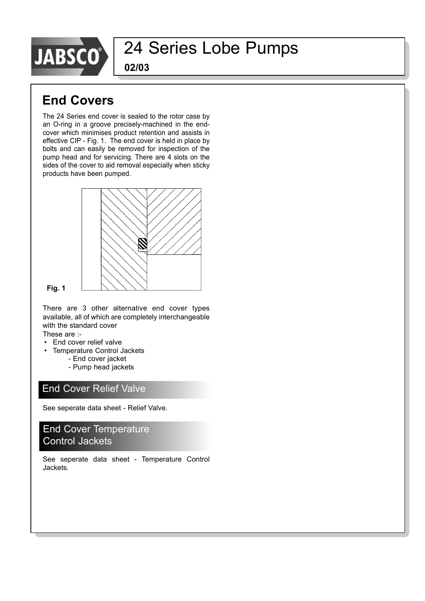

**02/03**

### **End Covers**

The 24 Series end cover is sealed to the rotor case by an O-ring in a groove precisely-machined in the endcover which minimises product retention and assists in effective CIP - Fig. 1. The end cover is held in place by bolts and can easily be removed for inspection of the pump head and for servicing. There are 4 slots on the sides of the cover to aid removal especially when sticky products have been pumped.



#### **Fig. 1**

There are 3 other alternative end cover types available, all of which are completely interchangeable with the standard cover

These are :-

- End cover relief valve
- Temperature Control Jackets
	- End cover jacket
	- Pump head jackets

### End Cover Relief Valve

See seperate data sheet - Relief Valve.

### End Cover Temperature Control Jackets

See seperate data sheet - Temperature Control Jackets.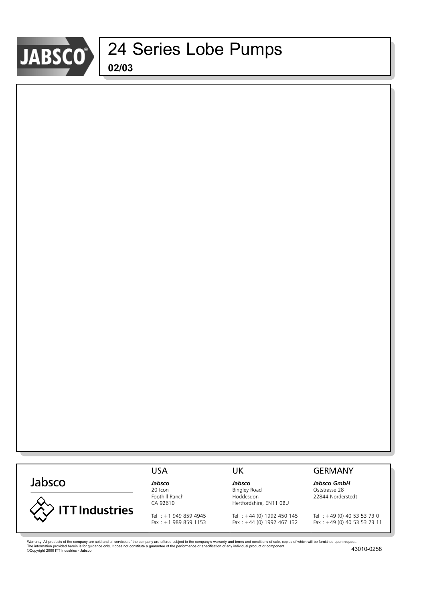

|                       | <b>USA</b>                          | JK                                  | GERMANY                                                                                                                                                                                                                                                                                                            |
|-----------------------|-------------------------------------|-------------------------------------|--------------------------------------------------------------------------------------------------------------------------------------------------------------------------------------------------------------------------------------------------------------------------------------------------------------------|
| Jabsco                | Jabsco                              | Jabsco                              | Jabsco GmbH                                                                                                                                                                                                                                                                                                        |
|                       | 20 Icon                             | <b>Bingley Road</b>                 | Oststrasse 28                                                                                                                                                                                                                                                                                                      |
|                       | Foothill Ranch                      | Hoddesdon                           | 22844 Norderstedt                                                                                                                                                                                                                                                                                                  |
|                       | CA 92610                            | Hertfordshire, EN11 OBU             |                                                                                                                                                                                                                                                                                                                    |
| <b>ITT Industries</b> |                                     |                                     |                                                                                                                                                                                                                                                                                                                    |
|                       | Tel: +1 949 859 4945                | Tel: +44 (0) 1992 450 145           | Tel : +49 (0) 40 53 53 73 0                                                                                                                                                                                                                                                                                        |
|                       | $\sim$ 0.00 0.00 $\sim$ $\sim$ 0.00 | $\cdots$ $\cdots$ $\cdots$ $\cdots$ | $\sqrt{2}$ $\sqrt{2}$ $\sqrt{2}$ $\sqrt{2}$ $\sqrt{2}$ $\sqrt{2}$ $\sqrt{2}$ $\sqrt{2}$ $\sqrt{2}$ $\sqrt{2}$ $\sqrt{2}$ $\sqrt{2}$ $\sqrt{2}$ $\sqrt{2}$ $\sqrt{2}$ $\sqrt{2}$ $\sqrt{2}$ $\sqrt{2}$ $\sqrt{2}$ $\sqrt{2}$ $\sqrt{2}$ $\sqrt{2}$ $\sqrt{2}$ $\sqrt{2}$ $\sqrt{2}$ $\sqrt{2}$ $\sqrt{2}$ $\sqrt{2$ |

Warranty: All products of the company are sold and all services of the company are offered subject to the company's warranty and terms and conditions of sale, copies of which will be furnished upon request.<br>The informatio

Fax : +1 989 859 1153 Fax : +44 (0) 1992 467 132 Fax : +49 (0) 40 53 53 73 11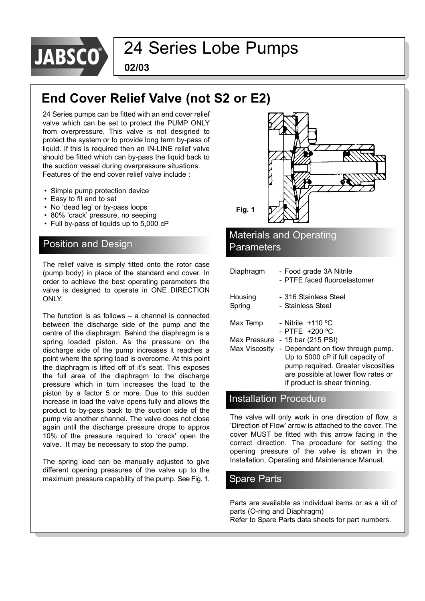

**02/03**

### **End Cover Relief Valve (not S2 or E2)**

24 Series pumps can be fitted with an end cover relief valve which can be set to protect the PUMP ONLY from overpressure. This valve is not designed to protect the system or to provide long term by-pass of liquid. If this is required then an IN-LINE relief valve should be fitted which can by-pass the liquid back to the suction vessel during overpressure situations. Features of the end cover relief valve include :

- Simple pump protection device
- Easy to fit and to set
- No 'dead leg' or by-pass loops
- 80% 'crack' pressure, no seeping
- Full by-pass of liquids up to 5,000 cP

The relief valve is simply fitted onto the rotor case (pump body) in place of the standard end cover. In order to achieve the best operating parameters the valve is designed to operate in ONE DIRECTION ONLY.

The function is as follows  $-$  a channel is connected between the discharge side of the pump and the centre of the diaphragm. Behind the diaphragm is a spring loaded piston. As the pressure on the discharge side of the pump increases it reaches a point where the spring load is overcome. At this point the diaphragm is lifted off of it's seat. This exposes the full area of the diaphragm to the discharge pressure which in turn increases the load to the piston by a factor 5 or more. Due to this sudden increase in load the valve opens fully and allows the product to by-pass back to the suction side of the pump via another channel. The valve does not close again until the discharge pressure drops to approx 10% of the pressure required to 'crack' open the valve. It may be necessary to stop the pump.

The spring load can be manually adjusted to give different opening pressures of the valve up to the maximum pressure capability of the pump. See Fig. 1.



#### Installation Procedure

The valve will only work in one direction of flow, a 'Direction of Flow' arrow is attached to the cover. The cover MUST be fitted with this arrow facing in the correct direction. The procedure for setting the opening pressure of the valve is shown in the Installation, Operating and Maintenance Manual.

### Spare Parts

Parts are available as individual items or as a kit of parts (O-ring and Diaphragm) Refer to Spare Parts data sheets for part numbers.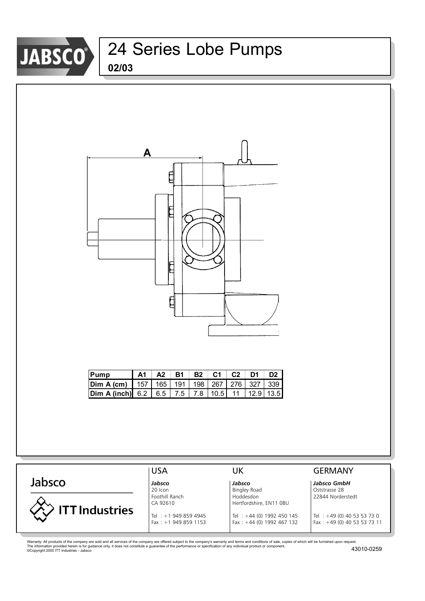

# **02/03** JABSCO<sup>3</sup> 24 Series Lobe Pumps



| Pump                                                  |  |  |  | A1   A2   B1   B2   C1   C2   D1   D2 |  |
|-------------------------------------------------------|--|--|--|---------------------------------------|--|
| <b>Dim A (cm)</b> 157 165 191 198 267 276 327 339     |  |  |  |                                       |  |
| <b>Dim A (inch)</b> 6.2 6.5 7.5 7.8 10.5 11 12.9 13.5 |  |  |  |                                       |  |

|                       | <b>USA</b>                                                 | UK                                                                                  | <b>GERMANY</b>                                                 |
|-----------------------|------------------------------------------------------------|-------------------------------------------------------------------------------------|----------------------------------------------------------------|
| Jabsco                | Jabsco<br>20 Icon<br>Foothill Ranch                        | Jabsco<br><b>Bingley Road</b><br>Hoddesdon                                          | Jabsco GmbH<br>Oststrasse 28<br>22844 Norderstedt              |
| <b>ITT Industries</b> | CA 92610<br>Tel: +1 949 859 4945<br>Fax: $+1$ 949 859 1153 | Hertfordshire, EN11 OBU<br>Tel: +44 (0) 1992 450 145<br>Fax: $+44$ (0) 1992 467 132 | Tel : $+49$ (0) 40 53 53 73 0<br>Fax: $+49$ (0) 40 53 53 73 11 |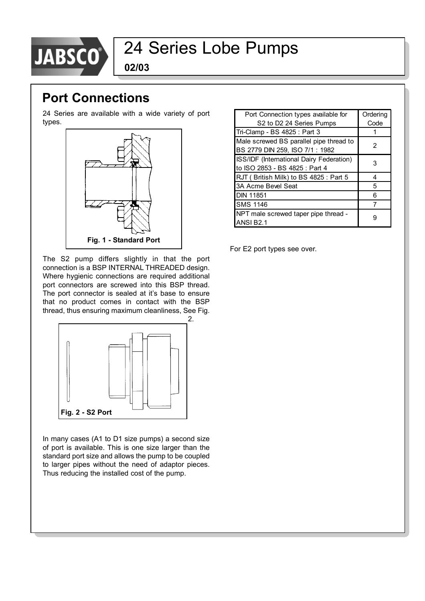

**02/03**

### **Port Connections**

24 Series are available with a wide variety of port types.



The S2 pump differs slightly in that the port connection is a BSP INTERNAL THREADED design. Where hygienic connections are required additional port connectors are screwed into this BSP thread. The port connector is sealed at it's base to ensure that no product comes in contact with the BSP thread, thus ensuring maximum cleanliness, See Fig.



In many cases (A1 to D1 size pumps) a second size of port is available. This is one size larger than the standard port size and allows the pump to be coupled to larger pipes without the need of adaptor pieces. Thus reducing the installed cost of the pump.

| Port Connection types available for                                        | Ordering |
|----------------------------------------------------------------------------|----------|
| S <sub>2</sub> to D <sub>2</sub> 24 Series Pumps                           | Code     |
| Tri-Clamp - BS 4825 : Part 3                                               |          |
| Male screwed BS parallel pipe thread to<br>BS 2779 DIN 259, ISO 7/1 : 1982 | 2        |
| ISS/IDF (International Dairy Federation)<br>to ISO 2853 - BS 4825 : Part 4 | 3        |
| RJT (British Milk) to BS 4825 : Part 5                                     | 4        |
| 3A Acme Bevel Seat                                                         | 5        |
| <b>DIN 11851</b>                                                           | 6        |
| <b>SMS 1146</b>                                                            |          |
| NPT male screwed taper pipe thread -<br>ANSI B <sub>2.1</sub>              |          |

For E2 port types see over.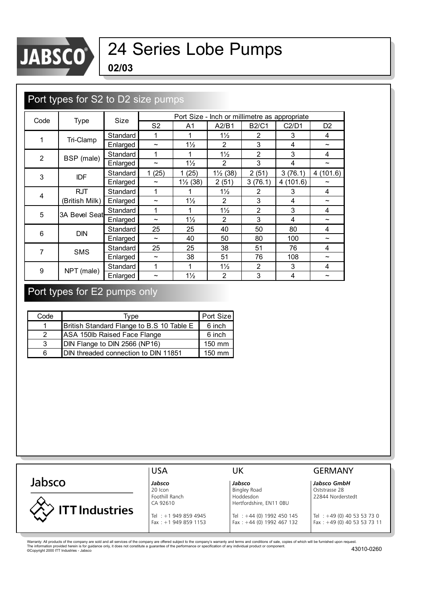

# JABSCO<sup>®</sup> 24 Series Lobe Pumps

**02/03**

| Port types for S2 to D2 size pumps |                |          |                       |                     |                     |                |                                               |                       |
|------------------------------------|----------------|----------|-----------------------|---------------------|---------------------|----------------|-----------------------------------------------|-----------------------|
|                                    |                | Size     |                       |                     |                     |                | Port Size - Inch or millimetre as appropriate |                       |
| Code                               | Type           |          | S <sub>2</sub>        | A1                  | A2/B1               | <b>B2/C1</b>   | C2/D1                                         | D <sub>2</sub>        |
| 1                                  | Tri-Clamp      | Standard | 1                     | 1                   | $1\frac{1}{2}$      | $\overline{2}$ | 3                                             | 4                     |
|                                    |                | Enlarged | $\tilde{\phantom{a}}$ | $1\frac{1}{2}$      | $\overline{2}$      | 3              | 4                                             | $\sim$                |
| $\overline{2}$                     | BSP (male)     | Standard | 1                     | 1                   | $1\frac{1}{2}$      | $\overline{2}$ | 3                                             | 4                     |
|                                    |                | Enlarged | $\tilde{\phantom{a}}$ | $1\frac{1}{2}$      | 2                   | 3              | 4                                             | $\tilde{\phantom{a}}$ |
| 3                                  | <b>IDF</b>     | Standard | 1(25)                 | 1(25)               | $1\frac{1}{2}$ (38) | 2(51)          | 3(76.1)                                       | 4(101.6)              |
|                                    |                | Enlarged | $\tilde{\phantom{a}}$ | $1\frac{1}{2}$ (38) | 2(51)               | 3(76.1)        | 4(101.6)                                      | $\tilde{}$            |
| $\overline{4}$                     | <b>RJT</b>     | Standard | 1                     |                     | $1\frac{1}{2}$      | 2              | 3                                             | 4                     |
|                                    | (British Milk) | Enlarged | $\tilde{\phantom{a}}$ | $1\frac{1}{2}$      | $\overline{2}$      | 3              | 4                                             | $\tilde{\phantom{a}}$ |
| 5                                  | 3A Bevel Seat  | Standard | 1                     | 1                   | $1\frac{1}{2}$      | $\overline{2}$ | 3                                             | 4                     |
|                                    |                | Enlarged | $\tilde{\phantom{a}}$ | $1\frac{1}{2}$      | 2                   | 3              | 4                                             | $\tilde{}$            |
| 6                                  | <b>DIN</b>     | Standard | 25                    | 25                  | 40                  | 50             | 80                                            | 4                     |
|                                    |                | Enlarged | $\tilde{\phantom{a}}$ | 40                  | 50                  | 80             | 100                                           | $\tilde{\phantom{a}}$ |
| 7                                  | <b>SMS</b>     | Standard | 25                    | 25                  | 38                  | 51             | 76                                            | 4                     |
|                                    |                | Enlarged | $\tilde{\phantom{a}}$ | 38                  | 51                  | 76             | 108                                           | $\tilde{\phantom{a}}$ |
| 9                                  |                | Standard | 1                     |                     | $1\frac{1}{2}$      | $\overline{2}$ | 3                                             | 4                     |
|                                    | NPT (male)     | Enlarged | ∼                     | $1\frac{1}{2}$      | $\overline{2}$      | 3              | 4                                             |                       |

### Port types for E2 pumps only

| Code          | Tvpe                                      | Port Size        |
|---------------|-------------------------------------------|------------------|
|               | British Standard Flange to B.S 10 Table E | 6 inch           |
| $\mathcal{P}$ | ASA 150lb Raised Face Flange              | 6 inch           |
| 3             | DIN Flange to DIN 2566 (NP16)             | 150 mm           |
| ค             | DIN threaded connection to DIN 11851      | $150 \text{ mm}$ |

USA UK GERMANY Jabsco *Jabsco Jabsco Jabsco GmbH* 20 Icon **Bingley Road** Bingley Road **Bingley Road** Bingley Road **Contains Act 28** Foothill Ranch **Hoddesdon** Hoddesdon 22844 Norderstedt CA 92610 Hertfordshire, EN11 0BU **ITT Industries** Tel : +1 949 859 4945 Tel : +44 (0) 1992 450 145 Tel : +49 (0) 40 53 53 73 0<br>Fax : +1 949 859 1153 Fax : +44 (0) 1992 467 132 Fax : +49 (0) 40 53 53 73 11  $Fax : +49(0)$  40 53 53 73 11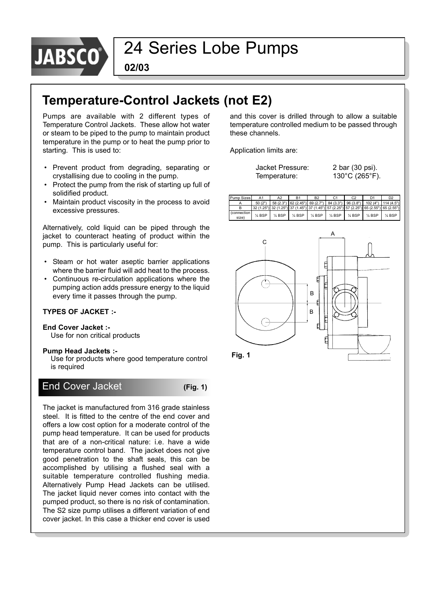

**02/03**

### **Temperature-Control Jackets (not E2)**

Pumps are available with 2 different types of Temperature Control Jackets. These allow hot water or steam to be piped to the pump to maintain product temperature in the pump or to heat the pump prior to starting. This is used to:

- Prevent product from degrading, separating or crystallising due to cooling in the pump.
- Protect the pump from the risk of starting up full of solidified product.
- Maintain product viscosity in the process to avoid excessive pressures.

Alternatively, cold liquid can be piped through the jacket to counteract heating of product within the pump. This is particularly useful for:

- Steam or hot water aseptic barrier applications where the barrier fluid will add heat to the process.
- Continuous re-circulation applications where the pumping action adds pressure energy to the liquid every time it passes through the pump.

#### **TYPES OF JACKET :-**

#### **End Cover Jacket :-**

Use for non critical products

#### **Pump Head Jackets :-**

Use for products where good temperature control is required

### End Cover Jacket **(Fig. 1)**

The jacket is manufactured from 316 grade stainless steel. It is fitted to the centre of the end cover and offers a low cost option for a moderate control of the pump head temperature. It can be used for products that are of a non-critical nature: i.e. have a wide temperature control band. The jacket does not give good penetration to the shaft seals, this can be accomplished by utilising a flushed seal with a suitable temperature controlled flushing media. Alternatively Pump Head Jackets can be utilised. The jacket liquid never comes into contact with the pumped product, so there is no risk of contamination. The S2 size pump utilises a different variation of end cover jacket. In this case a thicker end cover is used

and this cover is drilled through to allow a suitable temperature controlled medium to be passed through these channels.

Application limits are:

| Jacket Pressure: | 2 bar (30 psi). |
|------------------|-----------------|
| Temperature:     | 130°C (265°F).  |





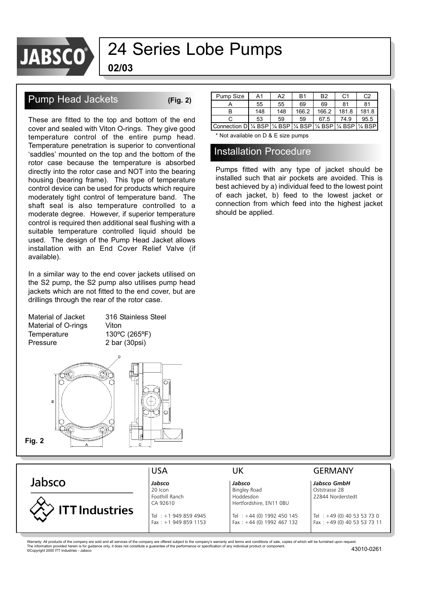

**02/03**

### Pump Head Jackets **(Fig. 2)**

These are fitted to the top and bottom of the end cover and sealed with Viton O-rings. They give good temperature control of the entire pump head. Temperature penetration is superior to conventional 'saddles' mounted on the top and the bottom of the rotor case because the temperature is absorbed directly into the rotor case and NOT into the bearing housing (bearing frame). This type of temperature control device can be used for products which require moderately tight control of temperature band. The shaft seal is also temperature controlled to a moderate degree. However, if superior temperature control is required then additional seal flushing with a suitable temperature controlled liquid should be used. The design of the Pump Head Jacket allows installation with an End Cover Relief Valve (if available).

In a similar way to the end cover jackets utilised on the S2 pump, the S2 pump also utilises pump head jackets which are not fitted to the end cover, but are drillings through the rear of the rotor case.

Material of Jacket 316 Stainless Steel Material of O-rings Viton Temperature 130°C (265°F) Pressure 2 bar (30psi)



| Pump Size                       | A1  | A2  | <b>B1</b>         | B <sub>2</sub>    | С1                | C2    |
|---------------------------------|-----|-----|-------------------|-------------------|-------------------|-------|
|                                 | 55  | 55  | 69                | 69                | 81                | 81    |
| R                               | 148 | 148 | 166.2             | 166.2             | 181.8             | 181.8 |
|                                 | 53  | 59  | 59                | 67.5              | 74.9              | 95.5  |
| Connection DI 1/4 BSP   1/4 BSP |     |     | $\frac{1}{4}$ BSP | $\frac{1}{4}$ BSP | $\frac{1}{4}$ BSP |       |

\* Not available on D & E size pumps

#### Installation Procedure

Pumps fitted with any type of jacket should be installed such that air pockets are avoided. This is best achieved by a) individual feed to the lowest point of each jacket, b) feed to the lowest jacket or connection from which feed into the highest jacket should be applied.

| Jabsco GmbH                                                |
|------------------------------------------------------------|
|                                                            |
| Bingley Road<br>Oststrasse 28                              |
| 22844 Norderstedt<br>Hoddesdon                             |
| Hertfordshire, EN11 OBU                                    |
| Tel : +49 (0) 40 53 53 73 0<br>Tel: +44 (0) 1992 450 145   |
| Fax: $+44$ (0) 1992 467 132<br>Fax: +49 (0) 40 53 53 73 11 |
|                                                            |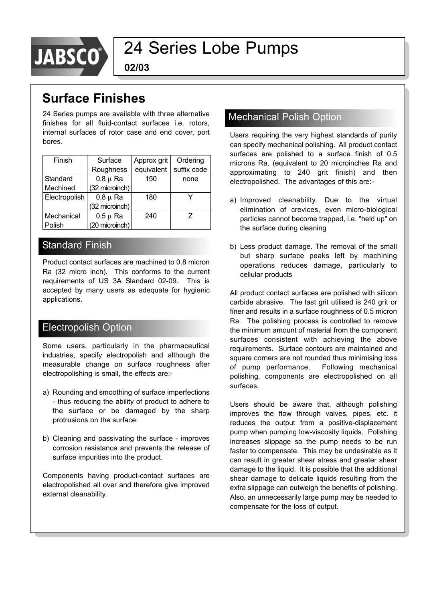

**02/03**

### **Surface Finishes**

24 Series pumps are available with three alternative finishes for all fluid-contact surfaces i.e. rotors, internal surfaces of rotor case and end cover, port bores.

| Finish        | Surface        | Approx grit | Ordering    |  |
|---------------|----------------|-------------|-------------|--|
|               | Roughness      | equivalent  | suffix code |  |
| Standard      | $0.8 \mu$ Ra   | 150         | none        |  |
| Machined      | (32 microinch) |             |             |  |
| Electropolish | $0.8 \mu$ Ra   | 180         |             |  |
|               | (32 microinch) |             |             |  |
| Mechanical    | $0.5 \mu$ Ra   | 240         | 7           |  |
| Polish        | (20 microinch) |             |             |  |

### Standard Finish

Product contact surfaces are machined to 0.8 micron Ra (32 micro inch). This conforms to the current requirements of US 3A Standard 02-09. This is accepted by many users as adequate for hygienic applications.

### Electropolish Option

Some users, particularly in the pharmaceutical industries, specify electropolish and although the measurable change on surface roughness after electropolishing is small, the effects are:-

- a) Rounding and smoothing of surface imperfections - thus reducing the ability of product to adhere to the surface or be damaged by the sharp protrusions on the surface.
- b) Cleaning and passivating the surface improves corrosion resistance and prevents the release of surface impurities into the product.

Components having product-contact surfaces are electropolished all over and therefore give improved external cleanability.

### Mechanical Polish Option

Users requiring the very highest standards of purity can specify mechanical polishing. All product contact surfaces are polished to a surface finish of 0.5 microns Ra, (equivalent to 20 microinches Ra and approximating to 240 grit finish) and then electropolished. The advantages of this are:-

- a) Improved cleanability. Due to the virtual elimination of crevices, even micro-biological particles cannot become trapped, i.e. "held up" on the surface during cleaning
- b) Less product damage. The removal of the small but sharp surface peaks left by machining operations reduces damage, particularly to cellular products

All product contact surfaces are polished with silicon carbide abrasive. The last grit utilised is 240 grit or finer and results in a surface roughness of 0.5 micron Ra. The polishing process is controlled to remove the minimum amount of material from the component surfaces consistent with achieving the above requirements. Surface contours are maintained and square corners are not rounded thus minimising loss of pump performance. Following mechanical polishing, components are electropolished on all surfaces.

Users should be aware that, although polishing improves the flow through valves, pipes, etc. it reduces the output from a positive-displacement pump when pumping low-viscosity liquids. Polishing increases slippage so the pump needs to be run faster to compensate. This may be undesirable as it can result in greater shear stress and greater shear damage to the liquid. It is possible that the additional shear damage to delicate liquids resulting from the extra slippage can outweigh the benefits of polishing. Also, an unnecessarily large pump may be needed to compensate for the loss of output.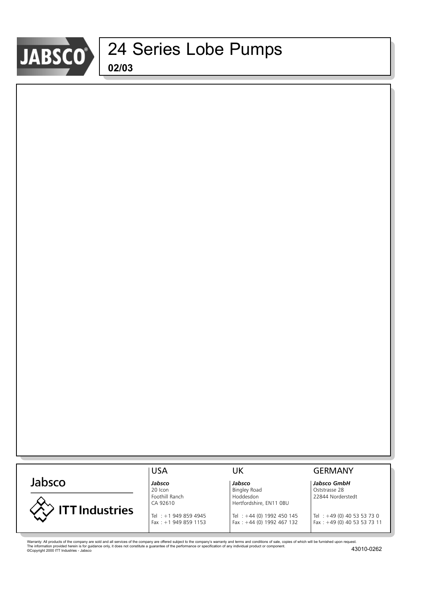

#### USA UK GERMANY Jabsco *Jabsco Jabsco Jabsco GmbH* 20 Icon **Bingley Road** Bingley Road **Bingley Road** Bingley Road **Contains Act 28** Foothill Ranch **Hoddesdon** Hoddesdon 22844 Norderstedt CA 92610 Hertfordshire, EN11 0BU **ITT Industries** Tel : +1 949 859 4945 Tel : +44 (0) 1992 450 145 Tel : +49 (0) 40 53 53 73 0<br>Fax : +1 949 859 1153 Fax : +44 (0) 1992 467 132 Fax : +49 (0) 40 53 53 73 11 Fax : +49 (0) 40 53 53 73 11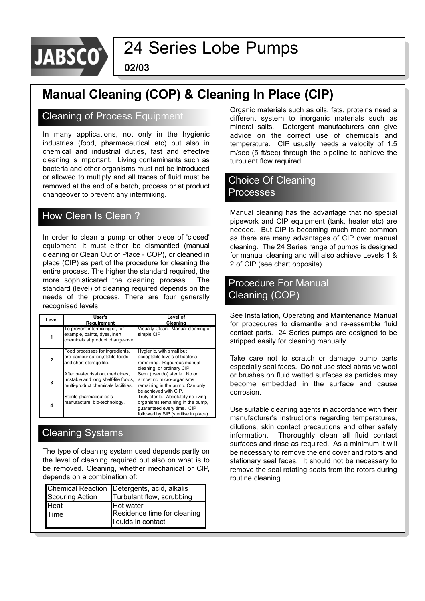

**02/03**

### **Manual Cleaning (COP) & Cleaning In Place (CIP)**

#### Cleaning of Process Equipment

In many applications, not only in the hygienic industries (food, pharmaceutical etc) but also in chemical and industrial duties, fast and effective cleaning is important. Living contaminants such as bacteria and other organisms must not be introduced or allowed to multiply and all traces of fluid must be removed at the end of a batch, process or at product changeover to prevent any intermixing.

### How Clean Is Clean ?

In order to clean a pump or other piece of 'closed' equipment, it must either be dismantled (manual cleaning or Clean Out of Place - COP), or cleaned in place (CIP) as part of the procedure for cleaning the entire process. The higher the standard required, the more sophisticated the cleaning process. The standard (level) of cleaning required depends on the needs of the process. There are four generally recognised levels:

| Level        | User's<br>Requirement                                                                                          | Level of<br>Cleaning                                                                                                                          |
|--------------|----------------------------------------------------------------------------------------------------------------|-----------------------------------------------------------------------------------------------------------------------------------------------|
|              | To prevent intermixing of, for<br>example, paints, dyes, inert<br>chemicals at product change-over.            | Visually Clean. Manual cleaning or<br>simple CIP                                                                                              |
| $\mathbf{2}$ | Food processes for ingredients,<br>pre-pasteurisation, stable foods<br>and short storage life.                 | Hygienic, with small but<br>acceptable levels of bacteria<br>remaining. Rigourous manual<br>cleaning, or ordinary CIP.                        |
| 3            | After pasteurisation, medicines,<br>unstable and long shelf-life foods,<br>multi-product chemicals facilities. | Semi (pseudo) sterile. No or<br>almost no micro-organisms<br>remaining in the pump. Can only<br>be achieved with CIP.                         |
| 4            | Sterile pharmaceuticals<br>manufacture, bio-technology.                                                        | Truly sterile. Absolutely no living<br>organisms remaining in the pump,<br>guaranteed every time. CIP<br>followed by SIP (sterilise in place) |

### Cleaning Systems

The type of cleaning system used depends partly on the level of cleaning required but also on what is to be removed. Cleaning, whether mechanical or CIP, depends on a combination of:

|                        | Chemical Reaction Detergents, acid, alkalis |
|------------------------|---------------------------------------------|
| <b>Scouring Action</b> | Turbulant flow, scrubbing                   |
| <b>Heat</b>            | Hot water                                   |
| <b>Time</b>            | Residence time for cleaning                 |
|                        | liquids in contact                          |

Organic materials such as oils, fats, proteins need a different system to inorganic materials such as mineral salts. Detergent manufacturers can give advice on the correct use of chemicals and temperature. CIP usually needs a velocity of 1.5 m/sec (5 ft/sec) through the pipeline to achieve the turbulent flow required.

### Choice Of Cleaning Processes

Manual cleaning has the advantage that no special pipework and CIP equipment (tank, heater etc) are needed. But CIP is becoming much more common as there are many advantages of CIP over manual cleaning. The 24 Series range of pumps is designed for manual cleaning and will also achieve Levels 1 & 2 of CIP (see chart opposite).

### Procedure For Manual Cleaning (COP)

See Installation, Operating and Maintenance Manual for procedures to dismantle and re-assemble fluid contact parts. 24 Series pumps are designed to be stripped easily for cleaning manually.

Take care not to scratch or damage pump parts especially seal faces. Do not use steel abrasive wool or brushes on fluid wetted surfaces as particles may become embedded in the surface and cause corrosion.

Use suitable cleaning agents in accordance with their manufacturer's instructions regarding temperatures, dilutions, skin contact precautions and other safety information. Thoroughly clean all fluid contact surfaces and rinse as required. As a minimum it will be necessary to remove the end cover and rotors and stationary seal faces. It should not be necessary to remove the seal rotating seats from the rotors during routine cleaning.